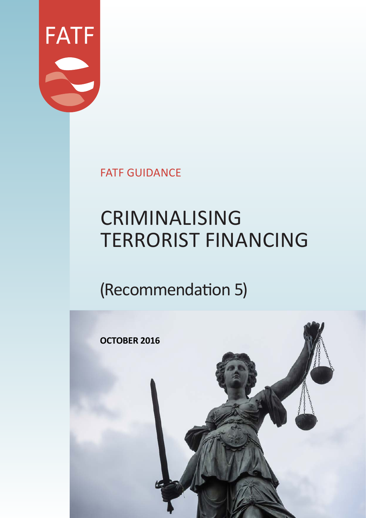

FATF GUIDANCE

# CRIMINALISING TERRORIST FINANCING

## (Recommendation 5)

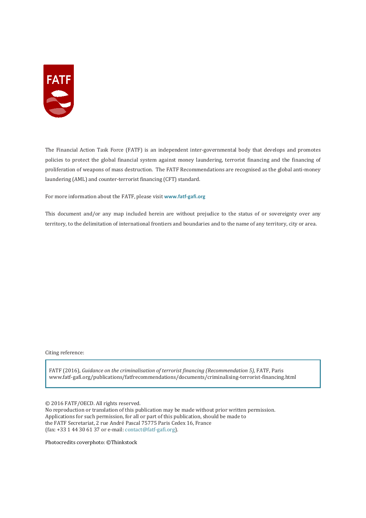

The Financial Action Task Force (FATF) is an independent inter-governmental body that develops and promotes policies to protect the global financial system against money laundering, terrorist financing and the financing of proliferation of weapons of mass destruction. The FATF Recommendations are recognised as the global anti-money laundering (AML) and counter-terrorist financing (CFT) standard.

For more information about the FATF, please visit **www.fatf-gafi.org**

This document and/or any map included herein are without prejudice to the status of or sovereignty over any territory, to the delimitation of international frontiers and boundaries and to the name of any territory, city or area.

Citing reference:

FATF (2016), *Guidance on the criminalisation of terrorist financing (Recommendation 5),* FATF, Paris www.fatf-gafi.org/publications/fatfrecommendations/documents/criminalising-terrorist-financing.html

© 2016 FATF/OECD. All rights reserved.

No reproduction or translation of this publication may be made without prior written permission. Applications for such permission, for all or part of this publication, should be made to the FATF Secretariat, 2 rue André Pascal 75775 Paris Cedex 16, France (fax: +33 1 44 30 61 37 or e-mail: contact@fatf-gafi.org).

Photocredits coverphoto: ©Thinkstock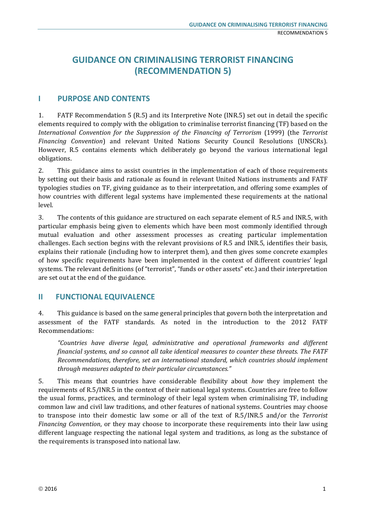### **GUIDANCE ON CRIMINALISING TERRORIST FINANCING (RECOMMENDATION 5)**

#### **I PURPOSE AND CONTENTS**

1. FATF Recommendation 5 (R.5) and its Interpretive Note (INR.5) set out in detail the specific elements required to comply with the obligation to criminalise terrorist financing (TF) based on the *International Convention for the Suppression of the Financing of Terrorism* (1999) (the *Terrorist Financing Convention*) and relevant United Nations Security Council Resolutions (UNSCRs). However, R.5 contains elements which deliberately go beyond the various international legal obligations.

2. This guidance aims to assist countries in the implementation of each of those requirements by setting out their basis and rationale as found in relevant United Nations instruments and FATF typologies studies on TF, giving guidance as to their interpretation, and offering some examples of how countries with different legal systems have implemented these requirements at the national level.

3. The contents of this guidance are structured on each separate element of R.5 and INR.5, with particular emphasis being given to elements which have been most commonly identified through mutual evaluation and other assessment processes as creating particular implementation challenges. Each section begins with the relevant provisions of R.5 and INR.5, identifies their basis, explains their rationale (including how to interpret them), and then gives some concrete examples of how specific requirements have been implemented in the context of different countries' legal systems. The relevant definitions (of "terrorist", "funds or other assets" etc.) and their interpretation are set out at the end of the guidance.

#### **II FUNCTIONAL EQUIVALENCE**

4. This guidance is based on the same general principles that govern both the interpretation and assessment of the FATF standards. As noted in the introduction to the 2012 FATF Recommendations:

*"Countries have diverse legal, administrative and operational frameworks and different financial systems, and so cannot all take identical measures to counter these threats. The FATF Recommendations, therefore, set an international standard, which countries should implement through measures adapted to their particular circumstances."* 

5. This means that countries have considerable flexibility about *how* they implement the requirements of R.5/INR.5 in the context of their national legal systems. Countries are free to follow the usual forms, practices, and terminology of their legal system when criminalising TF, including common law and civil law traditions, and other features of national systems. Countries may choose to transpose into their domestic law some or all of the text of R.5/INR.5 and/or the *Terrorist Financing Convention*, or they may choose to incorporate these requirements into their law using different language respecting the national legal system and traditions, as long as the substance of the requirements is transposed into national law.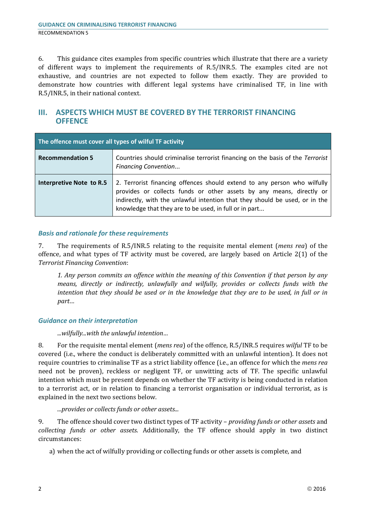6. This guidance cites examples from specific countries which illustrate that there are a variety of different ways to implement the requirements of R.5/INR.5. The examples cited are not exhaustive, and countries are not expected to follow them exactly. They are provided to demonstrate how countries with different legal systems have criminalised TF, in line with R.5/INR.5, in their national context.

#### **III. ASPECTS WHICH MUST BE COVERED BY THE TERRORIST FINANCING OFFENCE**

| The offence must cover all types of wilful TF activity |                                                                                                                                                                                                                                                                                           |
|--------------------------------------------------------|-------------------------------------------------------------------------------------------------------------------------------------------------------------------------------------------------------------------------------------------------------------------------------------------|
| <b>Recommendation 5</b>                                | Countries should criminalise terrorist financing on the basis of the Terrorist<br><b>Financing Convention</b>                                                                                                                                                                             |
| Interpretive Note to R.5                               | 2. Terrorist financing offences should extend to any person who wilfully<br>provides or collects funds or other assets by any means, directly or<br>indirectly, with the unlawful intention that they should be used, or in the<br>knowledge that they are to be used, in full or in part |

#### *Basis and rationale for these requirements*

7. The requirements of R.5/INR.5 relating to the requisite mental element (*mens rea*) of the offence, and what types of TF activity must be covered, are largely based on Article 2(1) of the *Terrorist Financing Convention*:

*1. Any person commits an offence within the meaning of this Convention if that person by any means, directly or indirectly, unlawfully and wilfully, provides or collects funds with the intention that they should be used or in the knowledge that they are to be used, in full or in part…*

#### *Guidance on their interpretation*

*...wilfully...with the unlawful intention…*

8. For the requisite mental element (*mens rea*) of the offence, R.5/INR.5 requires *wilful* TF to be covered (i.e., where the conduct is deliberately committed with an unlawful intention). It does not require countries to criminalise TF as a strict liability offence (i.e., an offence for which the *mens rea*  need not be proven), reckless or negligent TF, or unwitting acts of TF. The specific unlawful intention which must be present depends on whether the TF activity is being conducted in relation to a terrorist act, or in relation to financing a terrorist organisation or individual terrorist, as is explained in the next two sections below.

*...provides or collects funds or other assets...*

9. The offence should cover two distinct types of TF activity – *providing funds or other assets* and *collecting funds or other assets*. Additionally, the TF offence should apply in two distinct circumstances:

a) when the act of wilfully providing or collecting funds or other assets is complete, and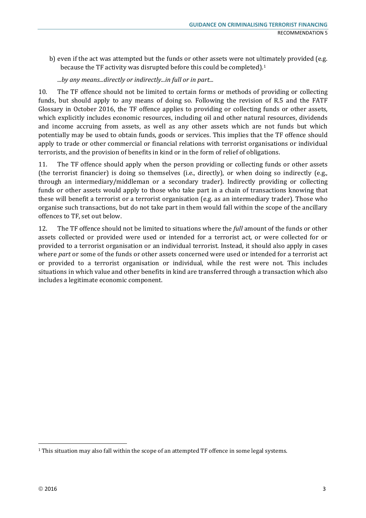- b) even if the act was attempted but the funds or other assets were not ultimately provided (e.g. because the TF activity was disrupted before this could be completed).1
	- *...by any means...directly or indirectly...in full or in part...*

10. The TF offence should not be limited to certain forms or methods of providing or collecting funds, but should apply to any means of doing so. Following the revision of R.5 and the FATF Glossary in October 2016, the TF offence applies to providing or collecting funds or other assets, which explicitly includes economic resources, including oil and other natural resources, dividends and income accruing from assets, as well as any other assets which are not funds but which potentially may be used to obtain funds, goods or services. This implies that the TF offence should apply to trade or other commercial or financial relations with terrorist organisations or individual terrorists, and the provision of benefits in kind or in the form of relief of obligations.

11. The TF offence should apply when the person providing or collecting funds or other assets (the terrorist financier) is doing so themselves (i.e., directly), or when doing so indirectly (e.g., through an intermediary/middleman or a secondary trader). Indirectly providing or collecting funds or other assets would apply to those who take part in a chain of transactions knowing that these will benefit a terrorist or a terrorist organisation (e.g. as an intermediary trader). Those who organise such transactions, but do not take part in them would fall within the scope of the ancillary offences to TF, set out below.

12. The TF offence should not be limited to situations where the *full* amount of the funds or other assets collected or provided were used or intended for a terrorist act, or were collected for or provided to a terrorist organisation or an individual terrorist. Instead, it should also apply in cases where *part* or some of the funds or other assets concerned were used or intended for a terrorist act or provided to a terrorist organisation or individual, while the rest were not. This includes situations in which value and other benefits in kind are transferred through a transaction which also includes a legitimate economic component.

<sup>&</sup>lt;sup>1</sup> This situation may also fall within the scope of an attempted TF offence in some legal systems.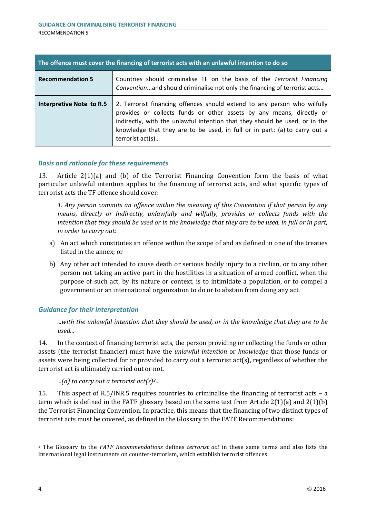| The offence must cover the financing of terrorist acts with an unlawful intention to do so |                                                                                                                                                                                                                                                                                                                                   |
|--------------------------------------------------------------------------------------------|-----------------------------------------------------------------------------------------------------------------------------------------------------------------------------------------------------------------------------------------------------------------------------------------------------------------------------------|
| <b>Recommendation 5</b>                                                                    | Countries should criminalise TF on the basis of the Terrorist Financing<br>Convention and should criminalise not only the financing of terrorist acts                                                                                                                                                                             |
| Interpretive Note to R.5                                                                   | 2. Terrorist financing offences should extend to any person who wilfully<br>provides or collects funds or other assets by any means, directly or<br>indirectly, with the unlawful intention that they should be used, or in the<br>knowledge that they are to be used, in full or in part: (a) to carry out a<br>terrorist act(s) |

13. Article 2(1)(a) and (b) of the Terrorist Financing Convention form the basis of what particular unlawful intention applies to the financing of terrorist acts, and what specific types of terrorist acts the TF offence should cover:

*1. Any person commits an offence within the meaning of this Convention if that person by any means, directly or indirectly, unlawfully and wilfully, provides or collects funds with the intention that they should be used or in the knowledge that they are to be used, in full or in part, in order to carry out:*

- a) An act which constitutes an offence within the scope of and as defined in one of the treaties listed in the annex; or
- b) Any other act intended to cause death or serious bodily injury to a civilian, or to any other person not taking an active part in the hostilities in a situation of armed conflict, when the purpose of such act, by its nature or context, is to intimidate a population, or to compel a government or an international organization to do or to abstain from doing any act.

#### *Guidance for their interpretation*

*...with the unlawful intention that they should be used, or in the knowledge that they are to be used...*

14. In the context of financing terrorist acts, the person providing or collecting the funds or other assets (the terrorist financier) must have the *unlawful intention* or *knowledge* that those funds or assets were being collected for or provided to carry out a terrorist act(s), regardless of whether the terrorist act is ultimately carried out or not.

*...(a) to carry out a terrorist act(s)2...*

15. This aspect of R.5/INR.5 requires countries to criminalise the financing of terrorist acts – a term which is defined in the FATF glossary based on the same text from Article  $2(1)(a)$  and  $2(1)(b)$ the Terrorist Financing Convention. In practice, this means that the financing of two distinct types of terrorist acts must be covered, as defined in the Glossary to the FATF Recommendations:

<sup>2</sup> The Glossary to the *FATF Recommendations* defines *terrorist act* in these same terms and also lists the international legal instruments on counter-terrorism, which establish terrorist offences.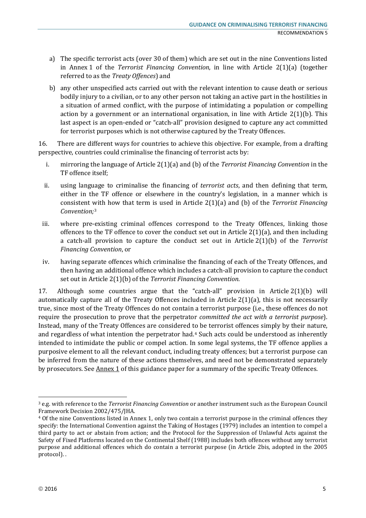- a) The specific terrorist acts (over 30 of them) which are set out in the nine Conventions listed in Annex 1 of the *Terrorist Financing Convention*, in line with Article 2(1)(a) (together referred to as the *Treaty Offences*) and
- b) any other unspecified acts carried out with the relevant intention to cause death or serious bodily injury to a civilian, or to any other person not taking an active part in the hostilities in a situation of armed conflict, with the purpose of intimidating a population or compelling action by a government or an international organisation, in line with Article  $2(1)(b)$ . This last aspect is an open-ended or "catch-all" provision designed to capture any act committed for terrorist purposes which is not otherwise captured by the Treaty Offences.

16. There are different ways for countries to achieve this objective. For example, from a drafting perspective, countries could criminalise the financing of terrorist acts by:

- i. mirroring the language of Article 2(1)(a) and (b) of the *Terrorist Financing Convention* in the TF offence itself;
- ii. using language to criminalise the financing of *terrorist acts*, and then defining that term, either in the TF offence or elsewhere in the country's legislation, in a manner which is consistent with how that term is used in Article 2(1)(a) and (b) of the *Terrorist Financing Convention;*<sup>3</sup>
- iii. where pre-existing criminal offences correspond to the Treaty Offences, linking those offences to the TF offence to cover the conduct set out in Article 2(1)(a), and then including a catch-all provision to capture the conduct set out in Article 2(1)(b) of the *Terrorist Financing Convention*, or
- iv. having separate offences which criminalise the financing of each of the Treaty Offences, and then having an additional offence which includes a catch-all provision to capture the conduct set out in Article 2(1)(b) of the *Terrorist Financing Convention*.

17. Although some countries argue that the "catch-all" provision in Article 2(1)(b) will automatically capture all of the Treaty Offences included in Article 2(1)(a), this is not necessarily true, since most of the Treaty Offences do not contain a terrorist purpose (i.e., these offences do not require the prosecution to prove that the perpetrator *committed the act with a terrorist purpose*). Instead, many of the Treaty Offences are considered to be terrorist offences simply by their nature, and regardless of what intention the perpetrator had.4 Such acts could be understood as inherently intended to intimidate the public or compel action. In some legal systems, the TF offence applies a purposive element to all the relevant conduct, including treaty offences; but a terrorist purpose can be inferred from the nature of these actions themselves, and need not be demonstrated separately by prosecutors. See Annex 1 of this guidance paper for a summary of the specific Treaty Offences.

<sup>3</sup> e.g. with reference to the *Terrorist Financing Convention* or another instrument such as the European Council

<sup>&</sup>lt;sup>4</sup> Of the nine Conventions listed in Annex 1, only two contain a terrorist purpose in the criminal offences they specify: the International Convention against the Taking of Hostages (1979) includes an intention to compel a third party to act or abstain from action; and the Protocol for the Suppression of Unlawful Acts against the Safety of Fixed Platforms located on the Continental Shelf (1988) includes both offences without any terrorist purpose and additional offences which do contain a terrorist purpose (in Article 2bis, adopted in the 2005 protocol). .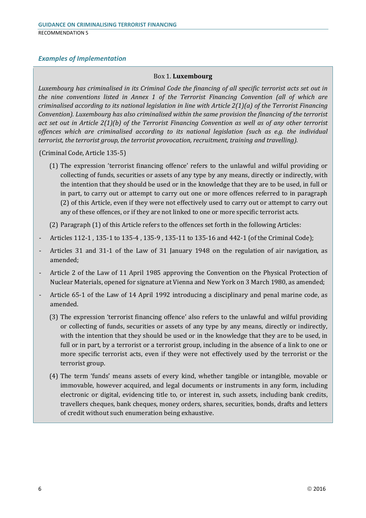#### *Examples of Implementation*

#### Box 1. **Luxembourg**

*Luxembourg has criminalised in its Criminal Code the financing of all specific terrorist acts set out in the nine conventions listed in Annex 1 of the Terrorist Financing Convention (all of which are criminalised according to its national legislation in line with Article 2(1)(a) of the Terrorist Financing Convention). Luxembourg has also criminalised within the same provision the financing of the terrorist act set out in Article 2(1)(b) of the Terrorist Financing Convention as well as of any other terrorist offences which are criminalised according to its national legislation (such as e.g. the individual terrorist, the terrorist group, the terrorist provocation, recruitment, training and travelling).*

(Criminal Code, Article 135-5)

(1) The expression 'terrorist financing offence' refers to the unlawful and wilful providing or collecting of funds, securities or assets of any type by any means, directly or indirectly, with the intention that they should be used or in the knowledge that they are to be used, in full or in part, to carry out or attempt to carry out one or more offences referred to in paragraph (2) of this Article, even if they were not effectively used to carry out or attempt to carry out any of these offences, or if they are not linked to one or more specific terrorist acts.

(2) Paragraph (1) of this Article refers to the offences set forth in the following Articles:

- Articles 112-1 , 135-1 to 135-4 , 135-9 , 135-11 to 135-16 and 442-1 (of the Criminal Code);
- Articles 31 and 31-1 of the Law of 31 January 1948 on the regulation of air navigation, as amended;
- Article 2 of the Law of 11 April 1985 approving the Convention on the Physical Protection of Nuclear Materials, opened for signature at Vienna and New York on 3 March 1980, as amended;
- Article 65-1 of the Law of 14 April 1992 introducing a disciplinary and penal marine code, as amended.
	- (3) The expression 'terrorist financing offence' also refers to the unlawful and wilful providing or collecting of funds, securities or assets of any type by any means, directly or indirectly, with the intention that they should be used or in the knowledge that they are to be used, in full or in part, by a terrorist or a terrorist group, including in the absence of a link to one or more specific terrorist acts, even if they were not effectively used by the terrorist or the terrorist group.
	- (4) The term 'funds' means assets of every kind, whether tangible or intangible, movable or immovable, however acquired, and legal documents or instruments in any form, including electronic or digital, evidencing title to, or interest in, such assets, including bank credits, travellers cheques, bank cheques, money orders, shares, securities, bonds, drafts and letters of credit without such enumeration being exhaustive.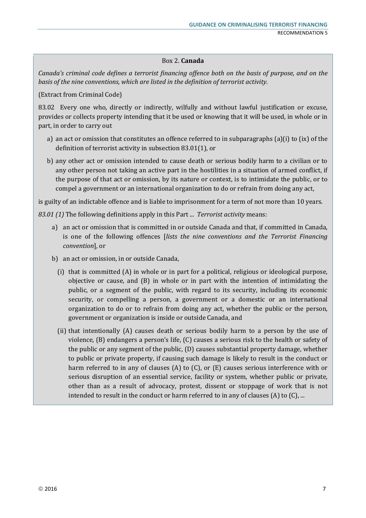#### Box 2. **Canada**

*Canada's criminal code defines a terrorist financing offence both on the basis of purpose, and on the basis of the nine conventions, which are listed in the definition of terrorist activity.*

(Extract from Criminal Code)

83.02 Every one who, directly or indirectly, wilfully and without lawful justification or excuse, provides or collects property intending that it be used or knowing that it will be used, in whole or in part, in order to carry out

- a) an act or omission that constitutes an offence referred to in subparagraphs (a)(i) to (ix) of the definition of terrorist activity in subsection 83.01(1), or
- b) any other act or omission intended to cause death or serious bodily harm to a civilian or to any other person not taking an active part in the hostilities in a situation of armed conflict, if the purpose of that act or omission, by its nature or context, is to intimidate the public, or to compel a government or an international organization to do or refrain from doing any act,

is guilty of an indictable offence and is liable to imprisonment for a term of not more than 10 years.

*83.01 (1)* The following definitions apply in this Part ... *Terrorist activity* means:

- a) an act or omission that is committed in or outside Canada and that, if committed in Canada, is one of the following offences [*lists the nine conventions and the Terrorist Financing convention*], or
- b) an act or omission, in or outside Canada,
	- (i) that is committed (A) in whole or in part for a political, religious or ideological purpose, objective or cause, and (B) in whole or in part with the intention of intimidating the public, or a segment of the public, with regard to its security, including its economic security, or compelling a person, a government or a domestic or an international organization to do or to refrain from doing any act, whether the public or the person, government or organization is inside or outside Canada, and
	- (ii) that intentionally (A) causes death or serious bodily harm to a person by the use of violence, (B) endangers a person's life, (C) causes a serious risk to the health or safety of the public or any segment of the public, (D) causes substantial property damage, whether to public or private property, if causing such damage is likely to result in the conduct or harm referred to in any of clauses (A) to (C), or (E) causes serious interference with or serious disruption of an essential service, facility or system, whether public or private, other than as a result of advocacy, protest, dissent or stoppage of work that is not intended to result in the conduct or harm referred to in any of clauses (A) to (C), ...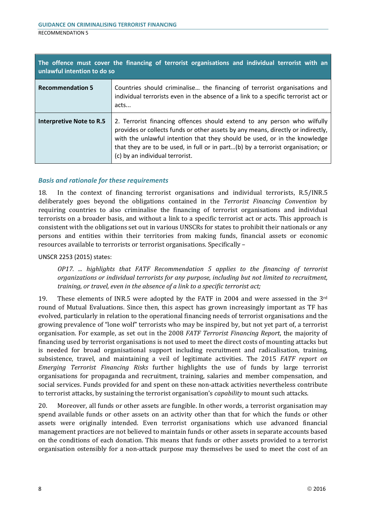| The offence must cover the financing of terrorist organisations and individual terrorist with an<br>unlawful intention to do so |                                                                                                                                                                                                                                                                                                                                                                 |  |
|---------------------------------------------------------------------------------------------------------------------------------|-----------------------------------------------------------------------------------------------------------------------------------------------------------------------------------------------------------------------------------------------------------------------------------------------------------------------------------------------------------------|--|
| <b>Recommendation 5</b>                                                                                                         | Countries should criminalise the financing of terrorist organisations and<br>individual terrorists even in the absence of a link to a specific terrorist act or<br>acts                                                                                                                                                                                         |  |
| Interpretive Note to R.5                                                                                                        | 2. Terrorist financing offences should extend to any person who wilfully<br>provides or collects funds or other assets by any means, directly or indirectly,<br>with the unlawful intention that they should be used, or in the knowledge<br>that they are to be used, in full or in part(b) by a terrorist organisation; or<br>(c) by an individual terrorist. |  |

18. In the context of financing terrorist organisations and individual terrorists, R.5/INR.5 deliberately goes beyond the obligations contained in the *Terrorist Financing Convention* by requiring countries to also criminalise the financing of terrorist organisations and individual terrorists on a broader basis, and without a link to a specific terrorist act or acts. This approach is consistent with the obligations set out in various UNSCRs for states to prohibit their nationals or any persons and entities within their territories from making funds, financial assets or economic resources available to terrorists or terrorist organisations. Specifically –

#### UNSCR 2253 (2015) states:

*OP17. ... highlights that FATF Recommendation 5 applies to the financing of terrorist organizations or individual terrorists for any purpose, including but not limited to recruitment, training, or travel, even in the absence of a link to a specific terrorist act;*

19. These elements of INR.5 were adopted by the FATF in 2004 and were assessed in the  $3<sup>rd</sup>$ round of Mutual Evaluations. Since then, this aspect has grown increasingly important as TF has evolved, particularly in relation to the operational financing needs of terrorist organisations and the growing prevalence of "lone wolf" terrorists who may be inspired by, but not yet part of, a terrorist organisation. For example, as set out in the 2008 *FATF Terrorist Financing Report*, the majority of financing used by terrorist organisations is not used to meet the direct costs of mounting attacks but is needed for broad organisational support including recruitment and radicalisation, training, subsistence, travel, and maintaining a veil of legitimate activities. The 2015 *FATF report on Emerging Terrorist Financing Risks* further highlights the use of funds by large terrorist organisations for propaganda and recruitment, training, salaries and member compensation, and social services. Funds provided for and spent on these non-attack activities nevertheless contribute to terrorist attacks, by sustaining the terrorist organisation's *capability* to mount such attacks.

20. Moreover, all funds or other assets are fungible. In other words, a terrorist organisation may spend available funds or other assets on an activity other than that for which the funds or other assets were originally intended. Even terrorist organisations which use advanced financial management practices are not believed to maintain funds or other assets in separate accounts based on the conditions of each donation. This means that funds or other assets provided to a terrorist organisation ostensibly for a non-attack purpose may themselves be used to meet the cost of an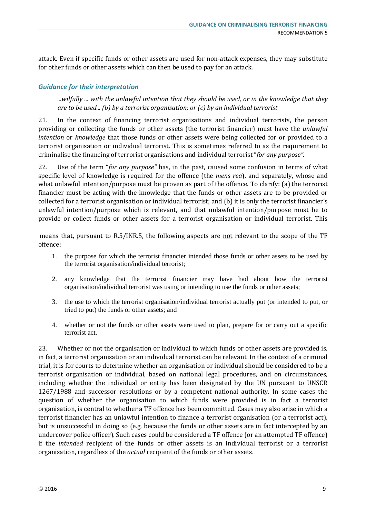attack. Even if specific funds or other assets are used for non-attack expenses, they may substitute for other funds or other assets which can then be used to pay for an attack.

#### *Guidance for their interpretation*

*...wilfully ... with the unlawful intention that they should be used, or in the knowledge that they are to be used... (b) by a terrorist organisation; or (c) by an individual terrorist*

21. In the context of financing terrorist organisations and individual terrorists, the person providing or collecting the funds or other assets (the terrorist financier) must have the *unlawful intention* or *knowledge* that those funds or other assets were being collected for or provided to a terrorist organisation or individual terrorist. This is sometimes referred to as the requirement to criminalise the financing of terrorist organisations and individual terrorist "*for any purpose".*

22. Use of the term "*for any purpose"* has, in the past, caused some confusion in terms of what specific level of knowledge is required for the offence (the *mens rea*), and separately, whose and what unlawful intention/purpose must be proven as part of the offence. To clarify: (a) the terrorist financier must be acting with the knowledge that the funds or other assets are to be provided or collected for a terrorist organisation or individual terrorist; and (b) it is only the terrorist financier's unlawful intention/purpose which is relevant, and that unlawful intention/purpose must be to provide or collect funds or other assets for a terrorist organisation or individual terrorist. This

means that, pursuant to R.5/INR.5, the following aspects are <u>not</u> relevant to the scope of the TF offence:

- 1. the purpose for which the terrorist financier intended those funds or other assets to be used by the terrorist organisation/individual terrorist;
- 2. any knowledge that the terrorist financier may have had about how the terrorist organisation/individual terrorist was using or intending to use the funds or other assets;
- 3. the use to which the terrorist organisation/individual terrorist actually put (or intended to put, or tried to put) the funds or other assets; and
- 4. whether or not the funds or other assets were used to plan, prepare for or carry out a specific terrorist act.

23. Whether or not the organisation or individual to which funds or other assets are provided is, in fact, a terrorist organisation or an individual terrorist can be relevant. In the context of a criminal trial, it is for courts to determine whether an organisation or individual should be considered to be a terrorist organisation or individual, based on national legal procedures, and on circumstances, including whether the individual or entity has been designated by the UN pursuant to UNSCR 1267/1988 and successor resolutions or by a competent national authority. In some cases the question of whether the organisation to which funds were provided is in fact a terrorist organisation, is central to whether a TF offence has been committed. Cases may also arise in which a terrorist financier has an unlawful intention to finance a terrorist organisation (or a terrorist act), but is unsuccessful in doing so (e.g. because the funds or other assets are in fact intercepted by an undercover police officer). Such cases could be considered a TF offence (or an attempted TF offence) if the *intended* recipient of the funds or other assets is an individual terrorist or a terrorist organisation, regardless of the *actual* recipient of the funds or other assets.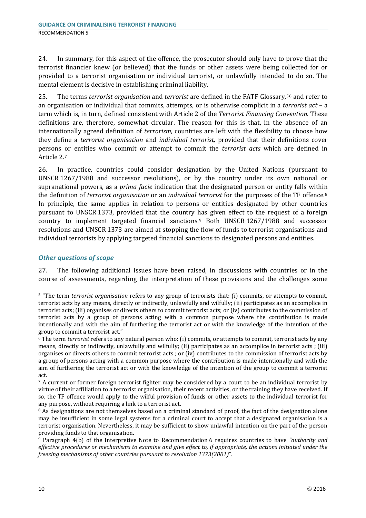24. In summary, for this aspect of the offence, the prosecutor should only have to prove that the terrorist financier knew (or believed) that the funds or other assets were being collected for or provided to a terrorist organisation or individual terrorist, or unlawfully intended to do so. The mental element is decisive in establishing criminal liability.

25. The terms *terrorist organisation* and *terrorist* are defined in the FATF Glossary,56 and refer to an organisation or individual that commits, attempts, or is otherwise complicit in a *terrorist act* – a term which is, in turn, defined consistent with Article 2 of the *Terrorist Financing Convention.* These definitions are, therefore, somewhat circular. The reason for this is that, in the absence of an internationally agreed definition of *terrorism,* countries are left with the flexibility to choose how they define a *terrorist organisation* and *individual terrorist,* provided that their definitions cover persons or entities who commit or attempt to commit the *terrorist acts* which are defined in Article 2.7

26. In practice, countries could consider designation by the United Nations (pursuant to UNSCR 1267/1988 and successor resolutions), or by the country under its own national or supranational powers, as a *prima facie* indication that the designated person or entity falls within the definition of *terrorist organisation* or an *individual terrorist* for the purposes of the TF offence.8 In principle, the same applies in relation to persons or entities designated by other countries pursuant to UNSCR 1373, provided that the country has given effect to the request of a foreign country to implement targeted financial sanctions.9 Both UNSCR 1267/1988 and successor resolutions and UNSCR 1373 are aimed at stopping the flow of funds to terrorist organisations and individual terrorists by applying targeted financial sanctions to designated persons and entities.

#### *Other questions of scope*

27. The following additional issues have been raised, in discussions with countries or in the course of assessments, regarding the interpretation of these provisions and the challenges some

<sup>5</sup> "The term *terrorist organisation* refers to any group of terrorists that: (i) commits, or attempts to commit, terrorist acts by any means, directly or indirectly, unlawfully and wilfully; (ii) participates as an accomplice in terrorist acts; (iii) organises or directs others to commit terrorist acts; or (iv) contributes to the commission of terrorist acts by a group of persons acting with a common purpose where the contribution is made intentionally and with the aim of furthering the terrorist act or with the knowledge of the intention of the group to commit a terrorist act."

<sup>6</sup> The term *terrorist* refers to any natural person who: (i) commits, or attempts to commit, terrorist acts by any means, directly or indirectly, unlawfully and wilfully; (ii) participates as an accomplice in terrorist acts ; (iii) organises or directs others to commit terrorist acts ; or (iv) contributes to the commission of terrorist acts by a group of persons acting with a common purpose where the contribution is made intentionally and with the aim of furthering the terrorist act or with the knowledge of the intention of the group to commit a terrorist act.

<sup>&</sup>lt;sup>7</sup> A current or former foreign terrorist fighter may be considered by a court to be an individual terrorist by virtue of their affiliation to a terrorist organisation, their recent activities, or the training they have received. If so, the TF offence would apply to the wilful provision of funds or other assets to the individual terrorist for any purpose, without requiring a link to a terrorist act.

<sup>8</sup> As designations are not themselves based on a criminal standard of proof, the fact of the designation alone may be insufficient in some legal systems for a criminal court to accept that a designated organisation is a terrorist organisation. Nevertheless, it may be sufficient to show unlawful intention on the part of the person providing funds to that organisation.

<sup>9</sup> Paragraph 4(b) of the Interpretive Note to Recommendation 6 requires countries to have *"authority and effective procedures or mechanisms to examine and give effect to, if appropriate, the actions initiated under the freezing mechanisms of other countries pursuant to resolution 1373(2001)*".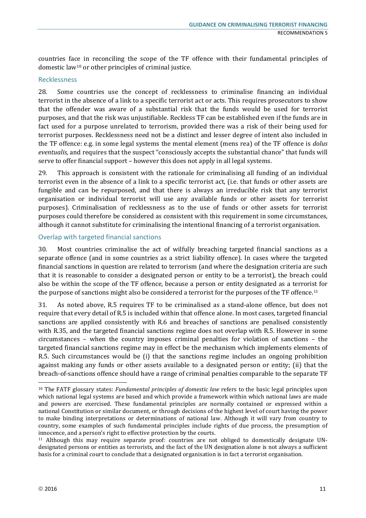countries face in reconciling the scope of the TF offence with their fundamental principles of domestic law10 or other principles of criminal justice.

#### Recklessness

28. Some countries use the concept of recklessness to criminalise financing an individual terrorist in the absence of a link to a specific terrorist act or acts. This requires prosecutors to show that the offender was aware of a substantial risk that the funds would be used for terrorist purposes, and that the risk was unjustifiable. Reckless TF can be established even if the funds are in fact used for a purpose unrelated to terrorism, provided there was a risk of their being used for terrorist purposes. Recklessness need not be a distinct and lesser degree of intent also included in the TF offence: e.g. in some legal systems the mental element (mens rea) of the TF offence is *dolus eventualis,* and requires that the suspect "consciously accepts the substantial chance" that funds will serve to offer financial support – however this does not apply in all legal systems.

29. This approach is consistent with the rationale for criminalising all funding of an individual terrorist even in the absence of a link to a specific terrorist act, (i.e. that funds or other assets are fungible and can be repurposed, and that there is always an irreducible risk that any terrorist organisation or individual terrorist will use any available funds or other assets for terrorist purposes). Criminalisation of recklessness as to the use of funds or other assets for terrorist purposes could therefore be considered as consistent with this requirement in some circumstances, although it cannot substitute for criminalising the intentional financing of a terrorist organisation.

#### Overlap with targeted financial sanctions

30. Most countries criminalise the act of wilfully breaching targeted financial sanctions as a separate offence (and in some countries as a strict liability offence). In cases where the targeted financial sanctions in question are related to terrorism (and where the designation criteria are such that it is reasonable to consider a designated person or entity to be a terrorist), the breach could also be within the scope of the TF offence, because a person or entity designated as a terrorist for the purpose of sanctions might also be considered a terrorist for the purposes of the TF offence.<sup>11</sup>

31. As noted above, R.5 requires TF to be criminalised as a stand-alone offence, but does not require that every detail of R.5 is included within that offence alone. In most cases, targeted financial sanctions are applied consistently with R.6 and breaches of sanctions are penalised consistently with R.35, and the targeted financial sanctions regime does not overlap with R.5. However in some circumstances – when the country imposes criminal penalties for violation of sanctions – the targeted financial sanctions regime may in effect be the mechanism which implements elements of R.5. Such circumstances would be (i) that the sanctions regime includes an ongoing prohibition against making any funds or other assets available to a designated person or entity; (ii) that the breach-of-sanctions offence should have a range of criminal penalties comparable to the separate TF

<sup>10</sup> The FATF glossary states: *Fundamental principles of domestic law* refers to the basic legal principles upon which national legal systems are based and which provide a framework within which national laws are made and powers are exercised. These fundamental principles are normally contained or expressed within a national Constitution or similar document, or through decisions of the highest level of court having the power to make binding interpretations or determinations of national law. Although it will vary from country to country, some examples of such fundamental principles include rights of due process, the presumption of innocence, and a person's right to effective protection by the courts.

<sup>11</sup> Although this may require separate proof: countries are not obliged to domestically designate UNdesignated persons or entities as terrorists, and the fact of the UN designation alone is not always a sufficient basis for a criminal court to conclude that a designated organisation is in fact a terrorist organisation.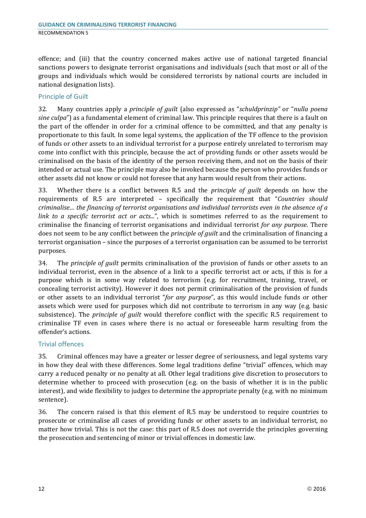offence; and (iii) that the country concerned makes active use of national targeted financial sanctions powers to designate terrorist organisations and individuals (such that most or all of the groups and individuals which would be considered terrorists by national courts are included in national designation lists).

#### Principle of Guilt

32. Many countries apply a *principle of guilt* (also expressed as "*schuldprinzip"* or "*nulla poena sine culpa*") as a fundamental element of criminal law. This principle requires that there is a fault on the part of the offender in order for a criminal offence to be committed, and that any penalty is proportionate to this fault. In some legal systems, the application of the TF offence to the provision of funds or other assets to an individual terrorist for a purpose entirely unrelated to terrorism may come into conflict with this principle, because the act of providing funds or other assets would be criminalised on the basis of the identity of the person receiving them, and not on the basis of their intended or actual use. The principle may also be invoked because the person who provides funds or other assets did not know or could not foresee that any harm would result from their actions.

33. Whether there is a conflict between R.5 and the *principle of guilt* depends on how the requirements of R.5 are interpreted – specifically the requirement that "*Countries should criminalise… the financing of terrorist organisations and individual terrorists even in the absence of a link to a specific terrorist act or acts...*", which is sometimes referred to as the requirement to criminalise the financing of terrorist organisations and individual terrorist *for any purpose*. There does not seem to be any conflict between the *principle of guilt* and the criminalisation of financing a terrorist organisation – since the purposes of a terrorist organisation can be assumed to be terrorist purposes.

34. The *principle of guilt* permits criminalisation of the provision of funds or other assets to an individual terrorist, even in the absence of a link to a specific terrorist act or acts, if this is for a purpose which is in some way related to terrorism (e.g. for recruitment, training, travel, or concealing terrorist activity). However it does not permit criminalisation of the provision of funds or other assets to an individual terrorist "*for any purpose*", as this would include funds or other assets which were used for purposes which did not contribute to terrorism in any way (e.g. basic subsistence). The *principle of guilt* would therefore conflict with the specific R.5 requirement to criminalise TF even in cases where there is no actual or foreseeable harm resulting from the offender's actions.

#### Trivial offences

35. Criminal offences may have a greater or lesser degree of seriousness, and legal systems vary in how they deal with these differences. Some legal traditions define "trivial" offences, which may carry a reduced penalty or no penalty at all. Other legal traditions give discretion to prosecutors to determine whether to proceed with prosecution (e.g. on the basis of whether it is in the public interest), and wide flexibility to judges to determine the appropriate penalty (e.g. with no minimum sentence).

36. The concern raised is that this element of R.5 may be understood to require countries to prosecute or criminalise all cases of providing funds or other assets to an individual terrorist, no matter how trivial. This is not the case: this part of R.5 does not override the principles governing the prosecution and sentencing of minor or trivial offences in domestic law.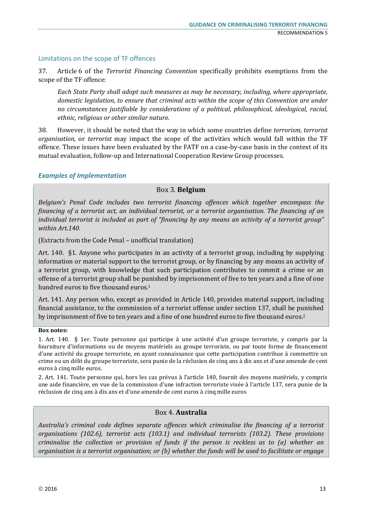#### Limitations on the scope of TF offences

37. Article 6 of the *Terrorist Financing Convention* specifically prohibits exemptions from the scope of the TF offence:

*Each State Party shall adopt such measures as may be necessary, including, where appropriate, domestic legislation, to ensure that criminal acts within the scope of this Convention are under no circumstances justifiable by considerations of a political, philosophical, ideological, racial, ethnic, religious or other similar nature.*

38. However, it should be noted that the way in which some countries define *terrorism, terrorist organisation,* or *terrorist* may impact the scope of the activities which would fall within the TF offence. These issues have been evaluated by the FATF on a case-by-case basis in the context of its mutual evaluation, follow-up and International Cooperation Review Group processes.

#### *Examples of Implementation*

#### Box 3. **Belgium**

*Belgium's Penal Code includes two terrorist financing offences which together encompass the financing of a terrorist act, an individual terrorist, or a terrorist organisation. The financing of an individual terrorist is included as part of "financing by any means an activity of a terrorist group" within Art.140.* 

(Extracts from the Code Penal – unofficial translation)

Art. 140. §1. Anyone who participates in an activity of a terrorist group, including by supplying information or material support to the terrorist group, or by financing by any means an activity of a terrorist group, with knowledge that such participation contributes to commit a crime or an offense of a terrorist group shall be punished by imprisonment of five to ten years and a fine of one hundred euros to five thousand euros.1

Art. 141. Any person who, except as provided in Article 140, provides material support, including financial assistance, to the commission of a terrorist offense under section 137, shall be punished by imprisonment of five to ten years and a fine of one hundred euros to five thousand euros.<sup>2</sup>

#### **Box notes:**

1. Art. 140. § 1er. Toute personne qui participe à une activité d'un groupe terroriste, y compris par la fourniture d'informations ou de moyens matériels au groupe terroriste, ou par toute forme de financement d'une activité du groupe terroriste, en ayant connaissance que cette participation contribue à commettre un crime ou un délit du groupe terroriste, sera punie de la réclusion de cinq ans à dix ans et d'une amende de cent euros à cinq mille euros.

2. Art. 141. Toute personne qui, hors les cas prévus à l'article 140, fournit des moyens matériels, y compris une aide financière, en vue de la commission d'une infraction terroriste visée à l'article 137, sera punie de la réclusion de cinq ans à dix ans et d'une amende de cent euros à cinq mille euros

#### Box 4. **Australia**

*Australia's criminal code defines separate offences which criminalise the financing of a terrorist organisations (102.6), terrorist acts (103.1) and individual terrorists (103.2). These provisions criminalise the collection or provision of funds if the person is reckless as to (a) whether an organisation is a terrorist organisation; or (b) whether the funds will be used to facilitate or engage*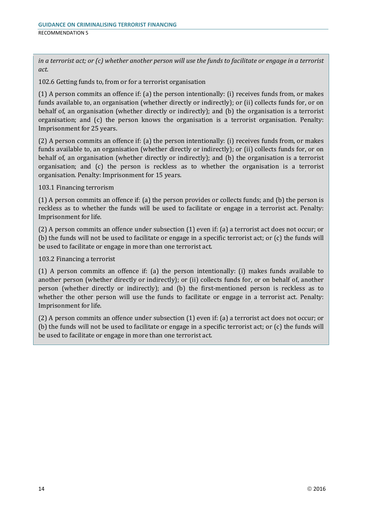*in a terrorist act; or (c) whether another person will use the funds to facilitate or engage in a terrorist act.*

102.6 Getting funds to, from or for a terrorist organisation

(1) A person commits an offence if: (a) the person intentionally: (i) receives funds from, or makes funds available to, an organisation (whether directly or indirectly); or (ii) collects funds for, or on behalf of, an organisation (whether directly or indirectly); and (b) the organisation is a terrorist organisation; and (c) the person knows the organisation is a terrorist organisation. Penalty: Imprisonment for 25 years.

(2) A person commits an offence if: (a) the person intentionally: (i) receives funds from, or makes funds available to, an organisation (whether directly or indirectly); or (ii) collects funds for, or on behalf of, an organisation (whether directly or indirectly); and (b) the organisation is a terrorist organisation; and (c) the person is reckless as to whether the organisation is a terrorist organisation. Penalty: Imprisonment for 15 years.

103.1 Financing terrorism

(1) A person commits an offence if: (a) the person provides or collects funds; and (b) the person is reckless as to whether the funds will be used to facilitate or engage in a terrorist act. Penalty: Imprisonment for life.

(2) A person commits an offence under subsection (1) even if: (a) a terrorist act does not occur; or (b) the funds will not be used to facilitate or engage in a specific terrorist act; or (c) the funds will be used to facilitate or engage in more than one terrorist act.

103.2 Financing a terrorist

(1) A person commits an offence if: (a) the person intentionally: (i) makes funds available to another person (whether directly or indirectly); or (ii) collects funds for, or on behalf of, another person (whether directly or indirectly); and (b) the first-mentioned person is reckless as to whether the other person will use the funds to facilitate or engage in a terrorist act. Penalty: Imprisonment for life.

(2) A person commits an offence under subsection (1) even if: (a) a terrorist act does not occur; or (b) the funds will not be used to facilitate or engage in a specific terrorist act; or (c) the funds will be used to facilitate or engage in more than one terrorist act.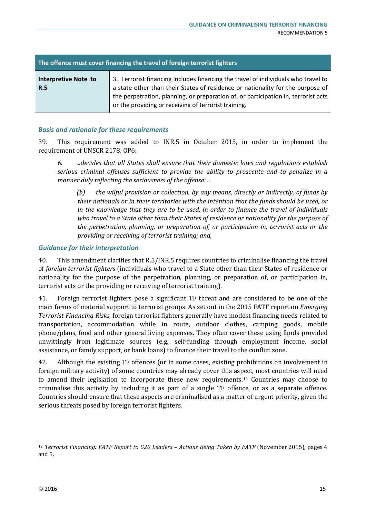| The offence must cover financing the travel of foreign terrorist fighters |                                                                                                                                                                                                                                                                                                                   |  |
|---------------------------------------------------------------------------|-------------------------------------------------------------------------------------------------------------------------------------------------------------------------------------------------------------------------------------------------------------------------------------------------------------------|--|
| <b>Interpretive Note to</b><br><b>R.5</b>                                 | 3. Terrorist financing includes financing the travel of individuals who travel to<br>a state other than their States of residence or nationality for the purpose of<br>the perpetration, planning, or preparation of, or participation in, terrorist acts<br>or the providing or receiving of terrorist training. |  |

39. This requirement was added to INR.5 in October 2015, in order to implement the requirement of UNSCR 2178, OP6:

*6. ...decides that all States shall ensure that their domestic laws and regulations establish serious criminal offenses sufficient to provide the ability to prosecute and to penalize in a manner duly reflecting the seriousness of the offense: ...*

*(b) the wilful provision or collection, by any means, directly or indirectly, of funds by their nationals or in their territories with the intention that the funds should be used, or in the knowledge that they are to be used, in order to finance the travel of individuals who travel to a State other than their States of residence or nationality for the purpose of the perpetration, planning, or preparation of, or participation in, terrorist acts or the providing or receiving of terrorist training; and,*

#### *Guidance for their interpretation*

40. This amendment clarifies that R.5/INR.5 requires countries to criminalise financing the travel of *foreign terrorist fighters* (individuals who travel to a State other than their States of residence or nationality for the purpose of the perpetration, planning, or preparation of, or participation in, terrorist acts or the providing or receiving of terrorist training).

41. Foreign terrorist fighters pose a significant TF threat and are considered to be one of the main forms of material support to terrorist groups. As set out in the 2015 FATF report on *Emerging Terrorist Financing Risks*, foreign terrorist fighters generally have modest financing needs related to transportation, accommodation while in route, outdoor clothes, camping goods, mobile phone/plans, food and other general living expenses. They often cover these using funds provided unwittingly from legitimate sources (e.g., self-funding through employment income, social assistance, or family support, or bank loans) to finance their travel to the conflict zone.

42. Although the existing TF offences (or in some cases, existing prohibitions on involvement in foreign military activity) of some countries may already cover this aspect, most countries will need to amend their legislation to incorporate these new requirements.12 Countries may choose to criminalise this activity by including it as part of a single TF offence, or as a separate offence. Countries should ensure that these aspects are criminalised as a matter of urgent priority, given the serious threats posed by foreign terrorist fighters.

<sup>&</sup>lt;sup>12</sup> *Terrorist Financing: FATF Report to G20 Leaders - Actions Being Taken by FATF* (November 2015), pages 4 and 5.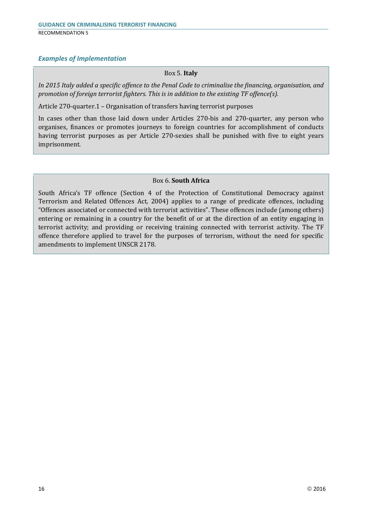#### *Examples of Implementation*

#### Box 5. **Italy**

*In 2015 Italy added a specific offence to the Penal Code to criminalise the financing, organisation, and promotion of foreign terrorist fighters. This is in addition to the existing TF offence(s).*

Article 270-quarter.1 – Organisation of transfers having terrorist purposes

In cases other than those laid down under Articles 270-bis and 270-quarter, any person who organises, finances or promotes journeys to foreign countries for accomplishment of conducts having terrorist purposes as per Article 270-sexies shall be punished with five to eight years imprisonment.

#### Box 6. **South Africa**

South Africa's TF offence (Section 4 of the Protection of Constitutional Democracy against Terrorism and Related Offences Act, 2004) applies to a range of predicate offences, including "Offences associated or connected with terrorist activities". These offences include (among others) entering or remaining in a country for the benefit of or at the direction of an entity engaging in terrorist activity; and providing or receiving training connected with terrorist activity. The TF offence therefore applied to travel for the purposes of terrorism, without the need for specific amendments to implement UNSCR 2178.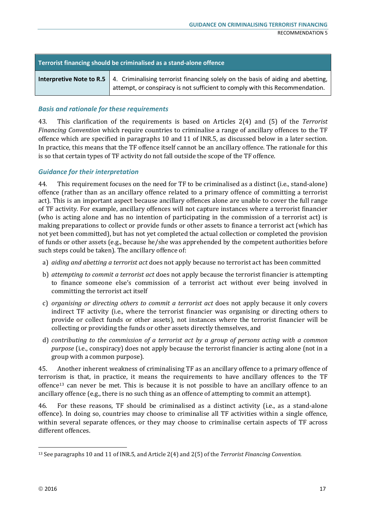| Terrorist financing should be criminalised as a stand-alone offence |                                                                                                                                                                                                    |  |
|---------------------------------------------------------------------|----------------------------------------------------------------------------------------------------------------------------------------------------------------------------------------------------|--|
|                                                                     | <b>Interpretive Note to R.5</b>   4. Criminalising terrorist financing solely on the basis of aiding and abetting,<br>attempt, or conspiracy is not sufficient to comply with this Recommendation. |  |

43. This clarification of the requirements is based on Articles 2(4) and (5) of the *Terrorist Financing Convention* which require countries to criminalise a range of ancillary offences to the TF offence which are specified in paragraphs 10 and 11 of INR.5, as discussed below in a later section. In practice, this means that the TF offence itself cannot be an ancillary offence. The rationale for this is so that certain types of TF activity do not fall outside the scope of the TF offence.

#### *Guidance for their interpretation*

44. This requirement focuses on the need for TF to be criminalised as a distinct (i.e., stand-alone) offence (rather than as an ancillary offence related to a primary offence of committing a terrorist act). This is an important aspect because ancillary offences alone are unable to cover the full range of TF activity. For example, ancillary offences will not capture instances where a terrorist financier (who is acting alone and has no intention of participating in the commission of a terrorist act) is making preparations to collect or provide funds or other assets to finance a terrorist act (which has not yet been committed), but has not yet completed the actual collection or completed the provision of funds or other assets (e.g., because he/she was apprehended by the competent authorities before such steps could be taken). The ancillary offence of:

- a) *aiding and abetting a terrorist act* does not apply because no terrorist act has been committed
- b) *attempting to commit a terrorist act* does not apply because the terrorist financier is attempting to finance someone else's commission of a terrorist act without ever being involved in committing the terrorist act itself
- c) *organising or directing others to commit a terrorist act* does not apply because it only covers indirect TF activity (i.e., where the terrorist financier was organising or directing others to provide or collect funds or other assets), not instances where the terrorist financier will be collecting or providing the funds or other assets directly themselves, and
- d) *contributing to the commission of a terrorist act by a group of persons acting with a common purpose* (i.e., conspiracy) does not apply because the terrorist financier is acting alone (not in a group with a common purpose).

45. Another inherent weakness of criminalising TF as an ancillary offence to a primary offence of terrorism is that, in practice, it means the requirements to have ancillary offences to the TF offence13 can never be met. This is because it is not possible to have an ancillary offence to an ancillary offence (e.g., there is no such thing as an offence of attempting to commit an attempt).

46. For these reasons, TF should be criminalised as a distinct activity (i.e., as a stand-alone offence). In doing so, countries may choose to criminalise all TF activities within a single offence, within several separate offences, or they may choose to criminalise certain aspects of TF across different offences.

<sup>13</sup> See paragraphs 10 and 11 of INR.5, and Article 2(4) and 2(5) of the *Terrorist Financing Convention.*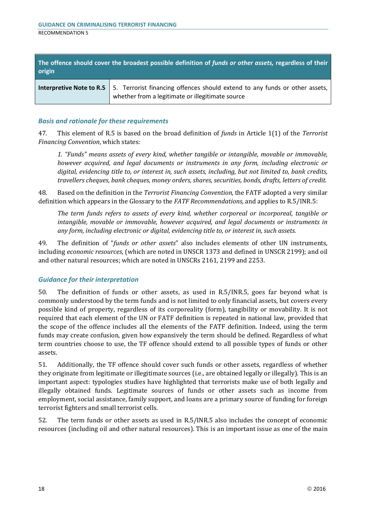| The offence should cover the broadest possible definition of funds or other assets, regardless of their<br>origin |                                                                                                                                                                 |  |
|-------------------------------------------------------------------------------------------------------------------|-----------------------------------------------------------------------------------------------------------------------------------------------------------------|--|
|                                                                                                                   | <b>Interpretive Note to R.5</b> 5. Terrorist financing offences should extend to any funds or other assets,<br>whether from a legitimate or illegitimate source |  |

47. This element of R.5 is based on the broad definition of *funds* in Article 1(1) of the *Terrorist Financing Convention*, which states:

*1. "Funds" means assets of every kind, whether tangible or intangible, movable or immovable, however acquired, and legal documents or instruments in any form, including electronic or digital, evidencing title to, or interest in, such assets, including, but not limited to, bank credits, travellers cheques, bank cheques, money orders, shares, securities, bonds, drafts, letters of credit.*

48. Based on the definition in the *Terrorist Financing Convention,* the FATF adopted a very similar definition which appears in the Glossary to the *FATF Recommendations,* and applies to R.5/INR.5:

*The term funds refers to assets of every kind, whether corporeal or incorporeal, tangible or intangible, movable or immovable, however acquired, and legal documents or instruments in any form, including electronic or digital, evidencing title to, or interest in, such assets.* 

49. The definition of "*funds or other assets*" also includes elements of other UN instruments, including *economic resources*, (which are noted in UNSCR 1373 and defined in UNSCR 2199); and oil and other natural resources; which are noted in UNSCRs 2161, 2199 and 2253.

#### *Guidance for their interpretation*

50. The definition of funds or other assets, as used in R.5/INR.5, goes far beyond what is commonly understood by the term funds and is not limited to only financial assets, but covers every possible kind of property, regardless of its corporeality (form), tangibility or movability. It is not required that each element of the UN or FATF definition is repeated in national law, provided that the scope of the offence includes all the elements of the FATF definition. Indeed, using the term funds may create confusion, given how expansively the term should be defined. Regardless of what term countries choose to use, the TF offence should extend to all possible types of funds or other assets.

51. Additionally, the TF offence should cover such funds or other assets, regardless of whether they originate from legitimate or illegitimate sources (i.e., are obtained legally or illegally). This is an important aspect: typologies studies have highlighted that terrorists make use of both legally and illegally obtained funds. Legitimate sources of funds or other assets such as income from employment, social assistance, family support, and loans are a primary source of funding for foreign terrorist fighters and small terrorist cells.

52. The term funds or other assets as used in R.5/INR.5 also includes the concept of economic resources (including oil and other natural resources). This is an important issue as one of the main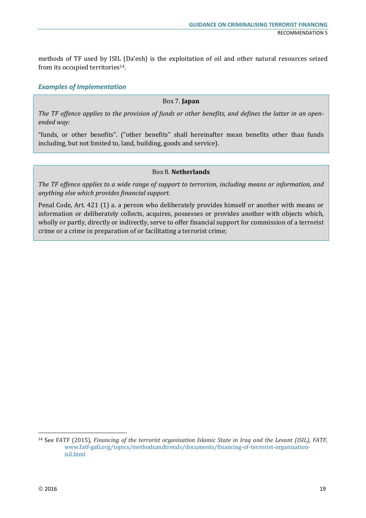methods of TF used by ISIL (Da'esh) is the exploitation of oil and other natural resources seized from its occupied territories<sup>14</sup>.

#### *Examples of Implementation*

#### Box 7. **Japan**

*The TF offence applies to the provision of funds or other benefits, and defines the latter in an openended way:* 

"funds, or other benefits". ("other benefits" shall hereinafter mean benefits other than funds including, but not limited to, land, building, goods and service).

#### Box 8. **Netherlands**

*The TF offence applies to a wide range of support to terrorism, including means or information, and anything else which provides financial support.* 

Penal Code, Art. 421 (1) a. a person who deliberately provides himself or another with means or information or deliberately collects, acquires, possesses or provides another with objects which, wholly or partly, directly or indirectly, serve to offer financial support for commission of a terrorist crime or a crime in preparation of or facilitating a terrorist crime;

<sup>14</sup> See FATF (2015), *Financing of the terrorist organisation Islamic State in Iraq and the Levant (ISIL), FATF,*  www.fatf-gafi.org/topics/methodsandtrends/documents/financing-of-terrorist-organisationisil.html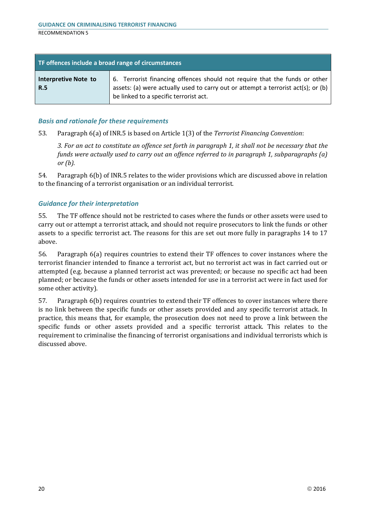| TF offences include a broad range of circumstances |                                                                                                                                                                                                           |
|----------------------------------------------------|-----------------------------------------------------------------------------------------------------------------------------------------------------------------------------------------------------------|
| Interpretive Note to<br><b>R.5</b>                 | 6. Terrorist financing offences should not require that the funds or other<br>assets: (a) were actually used to carry out or attempt a terrorist act(s); or (b)<br>be linked to a specific terrorist act. |

53. Paragraph 6(a) of INR.5 is based on Article 1(3) of the *Terrorist Financing Convention*:

*3. For an act to constitute an offence set forth in paragraph 1, it shall not be necessary that the funds were actually used to carry out an offence referred to in paragraph 1, subparagraphs (a) or (b).*

54. Paragraph 6(b) of INR.5 relates to the wider provisions which are discussed above in relation to the financing of a terrorist organisation or an individual terrorist.

#### *Guidance for their interpretation*

55. The TF offence should not be restricted to cases where the funds or other assets were used to carry out or attempt a terrorist attack, and should not require prosecutors to link the funds or other assets to a specific terrorist act. The reasons for this are set out more fully in paragraphs 14 to 17 above.

56. Paragraph 6(a) requires countries to extend their TF offences to cover instances where the terrorist financier intended to finance a terrorist act, but no terrorist act was in fact carried out or attempted (e.g. because a planned terrorist act was prevented; or because no specific act had been planned; or because the funds or other assets intended for use in a terrorist act were in fact used for some other activity).

57. Paragraph 6(b) requires countries to extend their TF offences to cover instances where there is no link between the specific funds or other assets provided and any specific terrorist attack. In practice, this means that, for example, the prosecution does not need to prove a link between the specific funds or other assets provided and a specific terrorist attack. This relates to the requirement to criminalise the financing of terrorist organisations and individual terrorists which is discussed above.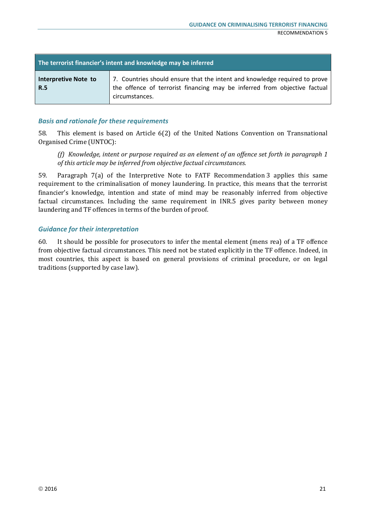| The terrorist financier's intent and knowledge may be inferred |                                                                                                                                                                           |
|----------------------------------------------------------------|---------------------------------------------------------------------------------------------------------------------------------------------------------------------------|
| Interpretive Note to<br><b>R.5</b>                             | 7. Countries should ensure that the intent and knowledge required to prove<br>the offence of terrorist financing may be inferred from objective factual<br>circumstances. |

58. This element is based on Article 6(2) of the United Nations Convention on Transnational Organised Crime (UNTOC):

*(f) Knowledge, intent or purpose required as an element of an offence set forth in paragraph 1 of this article may be inferred from objective factual circumstances.* 

59. Paragraph 7(a) of the Interpretive Note to FATF Recommendation 3 applies this same requirement to the criminalisation of money laundering. In practice, this means that the terrorist financier's knowledge, intention and state of mind may be reasonably inferred from objective factual circumstances. Including the same requirement in INR.5 gives parity between money laundering and TF offences in terms of the burden of proof.

#### *Guidance for their interpretation*

60. It should be possible for prosecutors to infer the mental element (mens rea) of a TF offence from objective factual circumstances. This need not be stated explicitly in the TF offence. Indeed, in most countries, this aspect is based on general provisions of criminal procedure, or on legal traditions (supported by case law).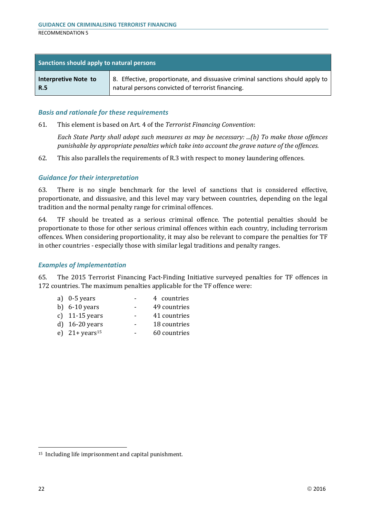| Sanctions should apply to natural persons |                                                                                |
|-------------------------------------------|--------------------------------------------------------------------------------|
| Interpretive Note to                      | 8. Effective, proportionate, and dissuasive criminal sanctions should apply to |
| <b>R.5</b>                                | natural persons convicted of terrorist financing.                              |

61. This element is based on Art. 4 of the *Terrorist Financing Convention*:

*Each State Party shall adopt such measures as may be necessary: ...(b) To make those offences punishable by appropriate penalties which take into account the grave nature of the offences.* 

62. This also parallels the requirements of R.3 with respect to money laundering offences.

#### *Guidance for their interpretation*

63. There is no single benchmark for the level of sanctions that is considered effective, proportionate, and dissuasive, and this level may vary between countries, depending on the legal tradition and the normal penalty range for criminal offences.

64. TF should be treated as a serious criminal offence. The potential penalties should be proportionate to those for other serious criminal offences within each country, including terrorism offences. When considering proportionality, it may also be relevant to compare the penalties for TF in other countries - especially those with similar legal traditions and penalty ranges.

#### *Examples of Implementation*

65. The 2015 Terrorist Financing Fact-Finding Initiative surveyed penalties for TF offences in 172 countries. The maximum penalties applicable for the TF offence were:

| a) $0-5$ years              | 4 countries  |
|-----------------------------|--------------|
| b) $6-10$ years             | 49 countries |
| c) $11-15$ years            | 41 countries |
| d) $16-20$ years            | 18 countries |
| e) $21 + \text{years}^{15}$ | 60 countries |
|                             |              |

<sup>15</sup> Including life imprisonment and capital punishment.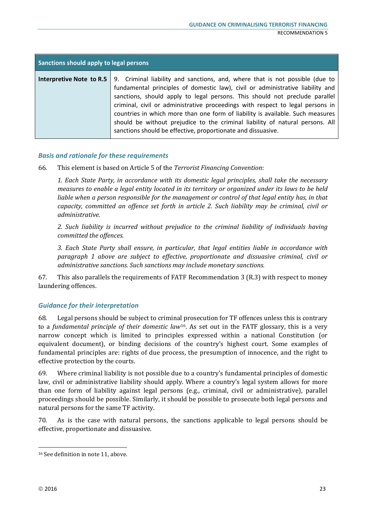| Sanctions should apply to legal persons |                                                                                                                                                                                                                                                                                                                                                                                                                                                                                                                                                                                                    |  |
|-----------------------------------------|----------------------------------------------------------------------------------------------------------------------------------------------------------------------------------------------------------------------------------------------------------------------------------------------------------------------------------------------------------------------------------------------------------------------------------------------------------------------------------------------------------------------------------------------------------------------------------------------------|--|
|                                         | <b>Interpretive Note to R.5</b> 9. Criminal liability and sanctions, and, where that is not possible (due to<br>fundamental principles of domestic law), civil or administrative liability and<br>sanctions, should apply to legal persons. This should not preclude parallel<br>criminal, civil or administrative proceedings with respect to legal persons in<br>countries in which more than one form of liability is available. Such measures<br>should be without prejudice to the criminal liability of natural persons. All<br>sanctions should be effective, proportionate and dissuasive. |  |

66. This element is based on Article 5 of the *Terrorist Financing Convention*:

*1. Each State Party, in accordance with its domestic legal principles, shall take the necessary measures to enable a legal entity located in its territory or organized under its laws to be held liable when a person responsible for the management or control of that legal entity has, in that capacity, committed an offence set forth in article 2. Such liability may be criminal, civil or administrative.*

*2. Such liability is incurred without prejudice to the criminal liability of individuals having committed the offences.*

*3. Each State Party shall ensure, in particular, that legal entities liable in accordance with paragraph 1 above are subject to effective, proportionate and dissuasive criminal, civil or administrative sanctions. Such sanctions may include monetary sanctions.* 

67. This also parallels the requirements of FATF Recommendation 3 (R.3) with respect to money laundering offences.

#### *Guidance for their interpretation*

68. Legal persons should be subject to criminal prosecution for TF offences unless this is contrary to a *fundamental principle of their domestic law*16. As set out in the FATF glossary, this is a very narrow concept which is limited to principles expressed within a national Constitution (or equivalent document), or binding decisions of the country's highest court. Some examples of fundamental principles are: rights of due process, the presumption of innocence, and the right to effective protection by the courts.

69. Where criminal liability is not possible due to a country's fundamental principles of domestic law, civil or administrative liability should apply. Where a country's legal system allows for more than one form of liability against legal persons (e.g., criminal, civil or administrative), parallel proceedings should be possible. Similarly, it should be possible to prosecute both legal persons and natural persons for the same TF activity.

70. As is the case with natural persons, the sanctions applicable to legal persons should be effective, proportionate and dissuasive.

<sup>16</sup> See definition in note 11, above.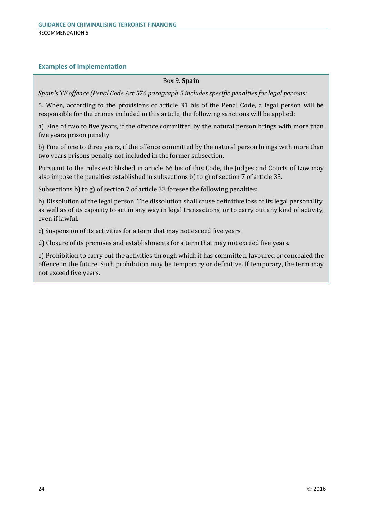#### **Examples of Implementation**

#### Box 9. **Spain**

*Spain's TF offence (Penal Code Art 576 paragraph 5 includes specific penalties for legal persons:*

5. When, according to the provisions of article 31 bis of the Penal Code, a legal person will be responsible for the crimes included in this article, the following sanctions will be applied:

a) Fine of two to five years, if the offence committed by the natural person brings with more than five years prison penalty.

b) Fine of one to three years, if the offence committed by the natural person brings with more than two years prisons penalty not included in the former subsection.

Pursuant to the rules established in article 66 bis of this Code, the Judges and Courts of Law may also impose the penalties established in subsections b) to g) of section 7 of article 33.

Subsections b) to g) of section 7 of article 33 foresee the following penalties:

b) Dissolution of the legal person. The dissolution shall cause definitive loss of its legal personality, as well as of its capacity to act in any way in legal transactions, or to carry out any kind of activity, even if lawful.

c) Suspension of its activities for a term that may not exceed five years.

d) Closure of its premises and establishments for a term that may not exceed five years.

e) Prohibition to carry out the activities through which it has committed, favoured or concealed the offence in the future. Such prohibition may be temporary or definitive. If temporary, the term may not exceed five years.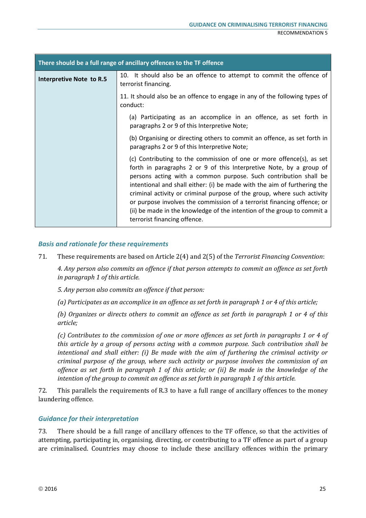| There should be a full range of ancillary offences to the TF offence |                                                                                                                                                                                                                                                                                                                                                                                                                                                                                                                                                              |  |
|----------------------------------------------------------------------|--------------------------------------------------------------------------------------------------------------------------------------------------------------------------------------------------------------------------------------------------------------------------------------------------------------------------------------------------------------------------------------------------------------------------------------------------------------------------------------------------------------------------------------------------------------|--|
| <b>Interpretive Note to R.5</b>                                      | 10. It should also be an offence to attempt to commit the offence of<br>terrorist financing.                                                                                                                                                                                                                                                                                                                                                                                                                                                                 |  |
|                                                                      | 11. It should also be an offence to engage in any of the following types of<br>conduct:                                                                                                                                                                                                                                                                                                                                                                                                                                                                      |  |
|                                                                      | (a) Participating as an accomplice in an offence, as set forth in<br>paragraphs 2 or 9 of this Interpretive Note;                                                                                                                                                                                                                                                                                                                                                                                                                                            |  |
|                                                                      | (b) Organising or directing others to commit an offence, as set forth in<br>paragraphs 2 or 9 of this Interpretive Note;                                                                                                                                                                                                                                                                                                                                                                                                                                     |  |
|                                                                      | (c) Contributing to the commission of one or more offence(s), as set<br>forth in paragraphs 2 or 9 of this Interpretive Note, by a group of<br>persons acting with a common purpose. Such contribution shall be<br>intentional and shall either: (i) be made with the aim of furthering the<br>criminal activity or criminal purpose of the group, where such activity<br>or purpose involves the commission of a terrorist financing offence; or<br>(ii) be made in the knowledge of the intention of the group to commit a<br>terrorist financing offence. |  |

71. These requirements are based on Article 2(4) and 2(5) of the *Terrorist Financing Convention*:

*4. Any person also commits an offence if that person attempts to commit an offence as set forth in paragraph 1 of this article.*

*5. Any person also commits an offence if that person:*

*(a) Participates as an accomplice in an offence as set forth in paragraph 1 or 4 of this article;*

*(b) Organizes or directs others to commit an offence as set forth in paragraph 1 or 4 of this article;*

*(c) Contributes to the commission of one or more offences as set forth in paragraphs 1 or 4 of this article by a group of persons acting with a common purpose. Such contribution shall be intentional and shall either: (i) Be made with the aim of furthering the criminal activity or criminal purpose of the group, where such activity or purpose involves the commission of an offence as set forth in paragraph 1 of this article; or (ii) Be made in the knowledge of the intention of the group to commit an offence as set forth in paragraph 1 of this article.*

72. This parallels the requirements of R.3 to have a full range of ancillary offences to the money laundering offence.

#### *Guidance for their interpretation*

73. There should be a full range of ancillary offences to the TF offence, so that the activities of attempting, participating in, organising, directing, or contributing to a TF offence as part of a group are criminalised. Countries may choose to include these ancillary offences within the primary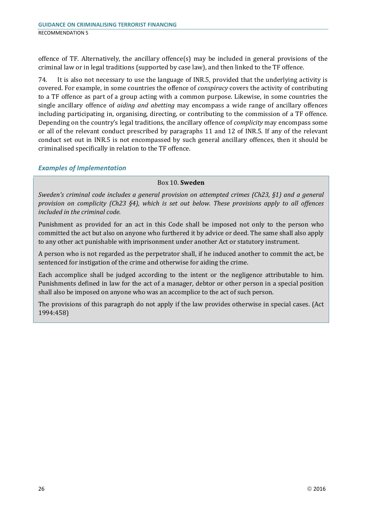offence of TF. Alternatively, the ancillary offence(s) may be included in general provisions of the criminal law or in legal traditions (supported by case law), and then linked to the TF offence.

74. It is also not necessary to use the language of INR.5, provided that the underlying activity is covered. For example, in some countries the offence of *conspiracy* covers the activity of contributing to a TF offence as part of a group acting with a common purpose. Likewise, in some countries the single ancillary offence of *aiding and abetting* may encompass a wide range of ancillary offences including participating in, organising, directing, or contributing to the commission of a TF offence. Depending on the country's legal traditions, the ancillary offence of *complicity* may encompass some or all of the relevant conduct prescribed by paragraphs 11 and 12 of INR.5. If any of the relevant conduct set out in INR.5 is not encompassed by such general ancillary offences, then it should be criminalised specifically in relation to the TF offence.

#### *Examples of Implementation*

#### Box 10. **Sweden**

*Sweden's criminal code includes a general provision on attempted crimes (Ch23, §1) and a general provision on complicity (Ch23 §4), which is set out below. These provisions apply to all offences included in the criminal code.* 

Punishment as provided for an act in this Code shall be imposed not only to the person who committed the act but also on anyone who furthered it by advice or deed. The same shall also apply to any other act punishable with imprisonment under another Act or statutory instrument.

A person who is not regarded as the perpetrator shall, if he induced another to commit the act, be sentenced for instigation of the crime and otherwise for aiding the crime.

Each accomplice shall be judged according to the intent or the negligence attributable to him. Punishments defined in law for the act of a manager, debtor or other person in a special position shall also be imposed on anyone who was an accomplice to the act of such person.

The provisions of this paragraph do not apply if the law provides otherwise in special cases. (Act 1994:458)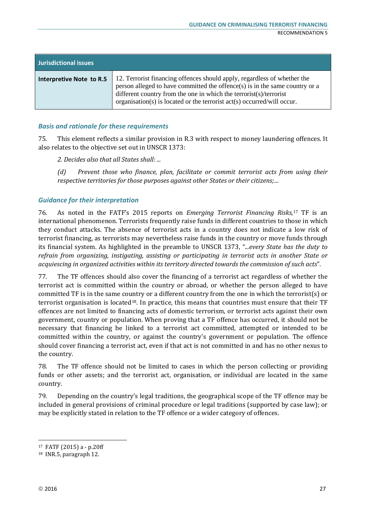| <b>Jurisdictional issues</b> |                                                                                                                                                                                                                                                                                                          |
|------------------------------|----------------------------------------------------------------------------------------------------------------------------------------------------------------------------------------------------------------------------------------------------------------------------------------------------------|
| Interpretive Note to R.5     | 12. Terrorist financing offences should apply, regardless of whether the<br>person alleged to have committed the offence(s) is in the same country or a<br>different country from the one in which the terrorist(s)/terrorist<br>organisation(s) is located or the terrorist act(s) occurred/will occur. |

75. This element reflects a similar provision in R.3 with respect to money laundering offences. It also relates to the objective set out in UNSCR 1373:

*2. Decides also that all States shall: ...* 

*(d) Prevent those who finance, plan, facilitate or commit terrorist acts from using their respective territories for those purposes against other States or their citizens;…*

#### *Guidance for their interpretation*

76. As noted in the FATF's 2015 reports on *Emerging Terrorist Financing Risks,*<sup>17</sup> TF is an international phenomenon. Terrorists frequently raise funds in different countries to those in which they conduct attacks. The absence of terrorist acts in a country does not indicate a low risk of terrorist financing, as terrorists may nevertheless raise funds in the country or move funds through its financial system. As highlighted in the preamble to UNSCR 1373, ".*..every State has the duty to refrain from organizing, instigating, assisting or participating in terrorist acts in another State or acquiescing in organized activities within its territory directed towards the commission of such acts*".

77. The TF offences should also cover the financing of a terrorist act regardless of whether the terrorist act is committed within the country or abroad, or whether the person alleged to have committed TF is in the same country or a different country from the one in which the terrorist(s) or terrorist organisation is located<sup>18</sup>. In practice, this means that countries must ensure that their  $TF$ offences are not limited to financing acts of domestic terrorism, or terrorist acts against their own government, country or population. When proving that a TF offence has occurred, it should not be necessary that financing be linked to a terrorist act committed, attempted or intended to be committed within the country, or against the country's government or population. The offence should cover financing a terrorist act, even if that act is not committed in and has no other nexus to the country.

78. The TF offence should not be limited to cases in which the person collecting or providing funds or other assets; and the terrorist act, organisation, or individual are located in the same country.

79. Depending on the country's legal traditions, the geographical scope of the TF offence may be included in general provisions of criminal procedure or legal traditions (supported by case law); or may be explicitly stated in relation to the TF offence or a wider category of offences.

<sup>17</sup> FATF (2015) a - p.20ff

<sup>18</sup> INR.5, paragraph 12.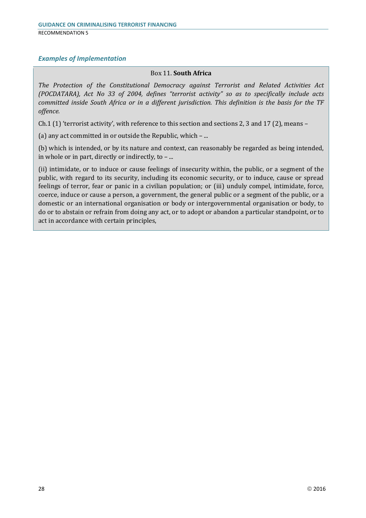#### *Examples of Implementation*

#### Box 11. **South Africa**

*The Protection of the Constitutional Democracy against Terrorist and Related Activities Act (POCDATARA), Act No 33 of 2004, defines "terrorist activity" so as to specifically include acts committed inside South Africa or in a different jurisdiction. This definition is the basis for the TF offence.* 

Ch.1 (1) 'terrorist activity', with reference to this section and sections 2, 3 and 17 (2), means –

(a) any act committed in or outside the Republic, which – ...

(b) which is intended, or by its nature and context, can reasonably be regarded as being intended, in whole or in part, directly or indirectly, to – ...

(ii) intimidate, or to induce or cause feelings of insecurity within, the public, or a segment of the public, with regard to its security, including its economic security, or to induce, cause or spread feelings of terror, fear or panic in a civilian population; or (iii) unduly compel, intimidate, force, coerce, induce or cause a person, a government, the general public or a segment of the public, or a domestic or an international organisation or body or intergovernmental organisation or body, to do or to abstain or refrain from doing any act, or to adopt or abandon a particular standpoint, or to act in accordance with certain principles,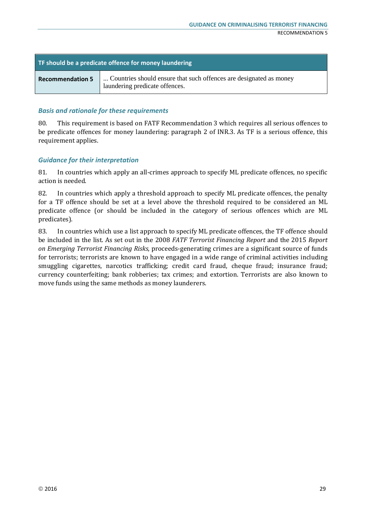| TF should be a predicate offence for money laundering |                                                                                                      |  |
|-------------------------------------------------------|------------------------------------------------------------------------------------------------------|--|
| <b>Recommendation 5</b>                               | Countries should ensure that such offences are designated as money<br>laundering predicate offences. |  |

80. This requirement is based on FATF Recommendation 3 which requires all serious offences to be predicate offences for money laundering: paragraph 2 of INR.3. As TF is a serious offence, this requirement applies.

#### *Guidance for their interpretation*

81. In countries which apply an all-crimes approach to specify ML predicate offences, no specific action is needed.

82. In countries which apply a threshold approach to specify ML predicate offences, the penalty for a TF offence should be set at a level above the threshold required to be considered an ML predicate offence (or should be included in the category of serious offences which are ML predicates).

83. In countries which use a list approach to specify ML predicate offences, the TF offence should be included in the list. As set out in the 2008 *FATF Terrorist Financing Report* and the 2015 *Report on Emerging Terrorist Financing Risks*, proceeds-generating crimes are a significant source of funds for terrorists; terrorists are known to have engaged in a wide range of criminal activities including smuggling cigarettes, narcotics trafficking; credit card fraud, cheque fraud; insurance fraud; currency counterfeiting; bank robberies; tax crimes; and extortion. Terrorists are also known to move funds using the same methods as money launderers.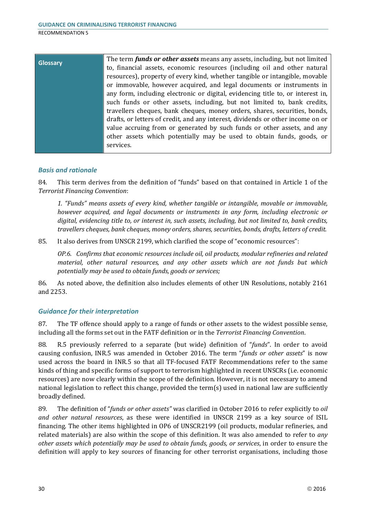| <b>Glossary</b> | The term <i>funds or other assets</i> means any assets, including, but not limited |
|-----------------|------------------------------------------------------------------------------------|
|                 | to, financial assets, economic resources (including oil and other natural          |
|                 | resources), property of every kind, whether tangible or intangible, movable        |
|                 | or immovable, however acquired, and legal documents or instruments in              |
|                 | any form, including electronic or digital, evidencing title to, or interest in,    |
|                 | such funds or other assets, including, but not limited to, bank credits,           |
|                 | travellers cheques, bank cheques, money orders, shares, securities, bonds,         |
|                 | drafts, or letters of credit, and any interest, dividends or other income on or    |
|                 | value accruing from or generated by such funds or other assets, and any            |
|                 | other assets which potentially may be used to obtain funds, goods, or              |
|                 | services.                                                                          |
|                 |                                                                                    |

#### *Basis and rationale*

84. This term derives from the definition of "funds" based on that contained in Article 1 of the *Terrorist Financing Convention*:

*1. "Funds" means assets of every kind, whether tangible or intangible, movable or immovable, however acquired, and legal documents or instruments in any form, including electronic or digital, evidencing title to, or interest in, such assets, including, but not limited to, bank credits, travellers cheques, bank cheques, money orders, shares, securities, bonds, drafts, letters of credit.*

85. It also derives from UNSCR 2199, which clarified the scope of "economic resources":

*OP.6. Confirms that economic resources include oil, oil products, modular refineries and related material, other natural resources, and any other assets which are not funds but which potentially may be used to obtain funds, goods or services;*

86. As noted above, the definition also includes elements of other UN Resolutions, notably 2161 and 2253.

#### *Guidance for their interpretation*

87. The TF offence should apply to a range of funds or other assets to the widest possible sense, including all the forms set out in the FATF definition or in the *Terrorist Financing Convention*.

88. R.5 previously referred to a separate (but wide) definition of "*funds*". In order to avoid causing confusion, INR.5 was amended in October 2016. The term "*funds or other assets*" is now used across the board in INR.5 so that all TF-focused FATF Recommendations refer to the same kinds of thing and specific forms of support to terrorism highlighted in recent UNSCRs (i.e. economic resources) are now clearly within the scope of the definition. However, it is not necessary to amend national legislation to reflect this change, provided the term(s) used in national law are sufficiently broadly defined.

89. The definition of "*funds or other assets"* was clarified in October 2016 to refer explicitly to *oil and other natural resources*, as these were identified in UNSCR 2199 as a key source of ISIL financing. The other items highlighted in OP6 of UNSCR2199 (oil products, modular refineries, and related materials) are also within the scope of this definition. It was also amended to refer to *any other assets which potentially may be used to obtain funds, goods, or services*, in order to ensure the definition will apply to key sources of financing for other terrorist organisations, including those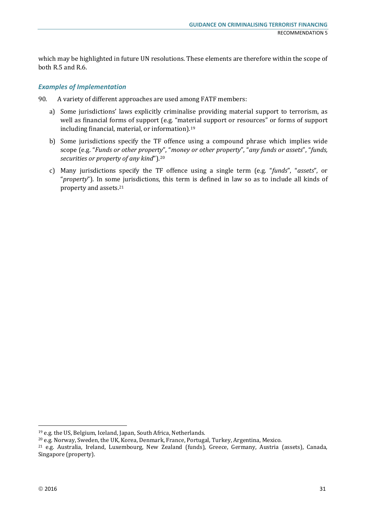which may be highlighted in future UN resolutions. These elements are therefore within the scope of both R.5 and R.6.

#### *Examples of Implementation*

90. A variety of different approaches are used among FATF members:

- a) Some jurisdictions' laws explicitly criminalise providing material support to terrorism, as well as financial forms of support (e.g. "material support or resources" or forms of support including financial, material, or information).19
- b) Some jurisdictions specify the TF offence using a compound phrase which implies wide scope (e.g. "*Funds or other property*", "*money or other property*", "*any funds or assets*", "*funds, securities or property of any kind*").20
- c) Many jurisdictions specify the TF offence using a single term (e.g. "*funds*", "*assets*", or "*property*"). In some jurisdictions, this term is defined in law so as to include all kinds of property and assets.21

<sup>&</sup>lt;sup>19</sup> e.g. the US, Belgium, Iceland, Japan, South Africa, Netherlands.<br><sup>20</sup> e.g. Norway, Sweden, the UK, Korea, Denmark, France, Portugal, Turkey, Argentina, Mexico.

<sup>21</sup> e.g. Australia, Ireland, Luxembourg, New Zealand (funds), Greece, Germany, Austria (assets), Canada, Singapore (property).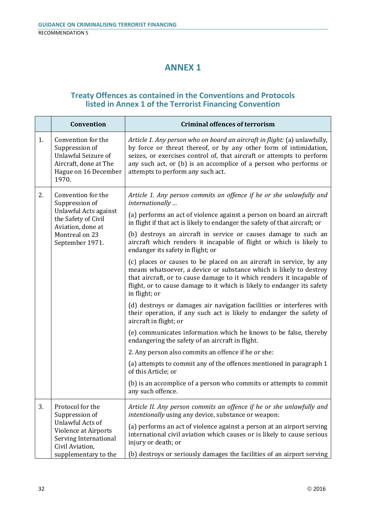## **ANNEX 1**

#### **Treaty Offences as contained in the Conventions and Protocols listed in Annex 1 of the Terrorist Financing Convention**

|    | Convention                                                                                                                   | <b>Criminal offences of terrorism</b>                                                                                                                                                                                                                                                                                             |
|----|------------------------------------------------------------------------------------------------------------------------------|-----------------------------------------------------------------------------------------------------------------------------------------------------------------------------------------------------------------------------------------------------------------------------------------------------------------------------------|
| 1. | Convention for the<br>Suppression of<br><b>Unlawful Seizure of</b><br>Aircraft, done at The<br>Hague on 16 December<br>1970. | Article 1. Any person who on board an aircraft in flight: (a) unlawfully,<br>by force or threat thereof, or by any other form of intimidation,<br>seizes, or exercises control of, that aircraft or attempts to perform<br>any such act, or (b) is an accomplice of a person who performs or<br>attempts to perform any such act. |
| 2. | Convention for the<br>Suppression of                                                                                         | Article 1. Any person commits an offence if he or she unlawfully and<br>internationally                                                                                                                                                                                                                                           |
|    | Unlawful Acts against<br>the Safety of Civil<br>Aviation, done at<br>Montreal on 23<br>September 1971.                       | (a) performs an act of violence against a person on board an aircraft<br>in flight if that act is likely to endanger the safety of that aircraft; or                                                                                                                                                                              |
|    |                                                                                                                              | (b) destroys an aircraft in service or causes damage to such an<br>aircraft which renders it incapable of flight or which is likely to<br>endanger its safety in flight; or                                                                                                                                                       |
|    |                                                                                                                              | (c) places or causes to be placed on an aircraft in service, by any<br>means whatsoever, a device or substance which is likely to destroy<br>that aircraft, or to cause damage to it which renders it incapable of<br>flight, or to cause damage to it which is likely to endanger its safety<br>in flight; or                    |
|    |                                                                                                                              | (d) destroys or damages air navigation facilities or interferes with<br>their operation, if any such act is likely to endanger the safety of<br>aircraft in flight; or                                                                                                                                                            |
|    |                                                                                                                              | (e) communicates information which he knows to be false, thereby<br>endangering the safety of an aircraft in flight.                                                                                                                                                                                                              |
|    |                                                                                                                              | 2. Any person also commits an offence if he or she:                                                                                                                                                                                                                                                                               |
|    |                                                                                                                              | (a) attempts to commit any of the offences mentioned in paragraph 1<br>of this Article; or                                                                                                                                                                                                                                        |
|    |                                                                                                                              | (b) is an accomplice of a person who commits or attempts to commit<br>any such offence                                                                                                                                                                                                                                            |
| 3. | Protocol for the<br>Suppression of                                                                                           | Article II. Any person commits an offence if he or she unlawfully and<br>intentionally using any device, substance or weapon:                                                                                                                                                                                                     |
|    | Unlawful Acts of<br>Violence at Airports<br>Serving International<br>Civil Aviation,                                         | (a) performs an act of violence against a person at an airport serving<br>international civil aviation which causes or is likely to cause serious<br>injury or death; or                                                                                                                                                          |
|    | supplementary to the                                                                                                         | (b) destroys or seriously damages the facilities of an airport serving                                                                                                                                                                                                                                                            |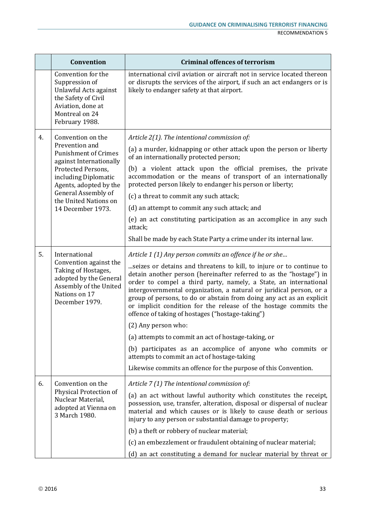|    | Convention                                                                                                                                                                                                                                 | <b>Criminal offences of terrorism</b>                                                                                                                                                                                                                                                                                                                                                                                                                                                                                                                                                                                                                                                                                                                                                                            |
|----|--------------------------------------------------------------------------------------------------------------------------------------------------------------------------------------------------------------------------------------------|------------------------------------------------------------------------------------------------------------------------------------------------------------------------------------------------------------------------------------------------------------------------------------------------------------------------------------------------------------------------------------------------------------------------------------------------------------------------------------------------------------------------------------------------------------------------------------------------------------------------------------------------------------------------------------------------------------------------------------------------------------------------------------------------------------------|
|    | Convention for the<br>Suppression of<br>Unlawful Acts against<br>the Safety of Civil<br>Aviation, done at<br>Montreal on 24<br>February 1988.                                                                                              | international civil aviation or aircraft not in service located thereon<br>or disrupts the services of the airport, if such an act endangers or is<br>likely to endanger safety at that airport.                                                                                                                                                                                                                                                                                                                                                                                                                                                                                                                                                                                                                 |
| 4. | Convention on the<br>Prevention and<br><b>Punishment of Crimes</b><br>against Internationally<br>Protected Persons,<br>including Diplomatic<br>Agents, adopted by the<br>General Assembly of<br>the United Nations on<br>14 December 1973. | Article 2(1). The intentional commission of:<br>(a) a murder, kidnapping or other attack upon the person or liberty<br>of an internationally protected person;<br>a violent attack upon the official premises, the private<br>(b)<br>accommodation or the means of transport of an internationally<br>protected person likely to endanger his person or liberty;<br>(c) a threat to commit any such attack;<br>(d) an attempt to commit any such attack; and<br>(e) an act constituting participation as an accomplice in any such<br>attack;<br>Shall be made by each State Party a crime under its internal law.                                                                                                                                                                                               |
| 5. | International<br>Convention against the<br>Taking of Hostages,<br>adopted by the General<br>Assembly of the United<br>Nations on 17<br>December 1979.                                                                                      | Article 1 (1) Any person commits an offence if he or she<br>seizes or detains and threatens to kill, to injure or to continue to<br>detain another person (hereinafter referred to as the "hostage") in<br>order to compel a third party, namely, a State, an international<br>intergovernmental organization, a natural or juridical person, or a<br>group of persons, to do or abstain from doing any act as an explicit<br>or implicit condition for the release of the hostage commits the<br>offence of taking of hostages ("hostage-taking")<br>(2) Any person who:<br>(a) attempts to commit an act of hostage-taking, or<br>(b) participates as an accomplice of anyone who commits or<br>attempts to commit an act of hostage-taking<br>Likewise commits an offence for the purpose of this Convention. |
| 6. | Convention on the<br>Physical Protection of<br>Nuclear Material,<br>adopted at Vienna on<br>3 March 1980.                                                                                                                                  | Article 7 (1) The intentional commission of:<br>(a) an act without lawful authority which constitutes the receipt,<br>possession, use, transfer, alteration, disposal or dispersal of nuclear<br>material and which causes or is likely to cause death or serious<br>injury to any person or substantial damage to property;<br>(b) a theft or robbery of nuclear material;<br>(c) an embezzlement or fraudulent obtaining of nuclear material;<br>(d) an act constituting a demand for nuclear material by threat or                                                                                                                                                                                                                                                                                            |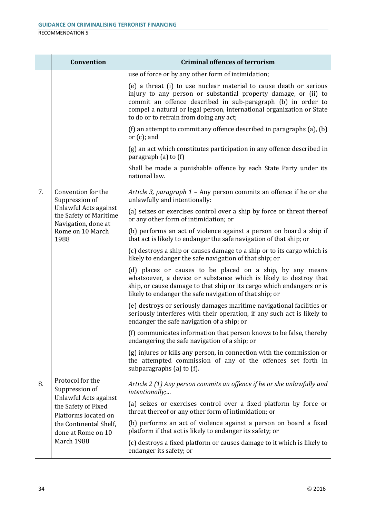| <b>RECOMMENDATION 5</b> |  |
|-------------------------|--|
|                         |  |

|                       | Convention                                                                                                                                                               | <b>Criminal offences of terrorism</b>                                                                                                                                                                                                                                                                                     |
|-----------------------|--------------------------------------------------------------------------------------------------------------------------------------------------------------------------|---------------------------------------------------------------------------------------------------------------------------------------------------------------------------------------------------------------------------------------------------------------------------------------------------------------------------|
|                       |                                                                                                                                                                          | use of force or by any other form of intimidation;                                                                                                                                                                                                                                                                        |
|                       |                                                                                                                                                                          | (e) a threat (i) to use nuclear material to cause death or serious<br>injury to any person or substantial property damage, or (ii) to<br>commit an offence described in sub-paragraph (b) in order to<br>compel a natural or legal person, international organization or State<br>to do or to refrain from doing any act; |
|                       |                                                                                                                                                                          | (f) an attempt to commit any offence described in paragraphs (a), (b)<br>or $(c)$ ; and                                                                                                                                                                                                                                   |
|                       |                                                                                                                                                                          | (g) an act which constitutes participation in any offence described in<br>paragraph $(a)$ to $(f)$                                                                                                                                                                                                                        |
|                       |                                                                                                                                                                          | Shall be made a punishable offence by each State Party under its<br>national law.                                                                                                                                                                                                                                         |
| 7.                    | Convention for the<br>Suppression of                                                                                                                                     | Article 3, paragraph 1 - Any person commits an offence if he or she<br>unlawfully and intentionally:                                                                                                                                                                                                                      |
| Unlawful Acts against | the Safety of Maritime<br>Navigation, done at                                                                                                                            | (a) seizes or exercises control over a ship by force or threat thereof<br>or any other form of intimidation; or                                                                                                                                                                                                           |
|                       | Rome on 10 March<br>1988                                                                                                                                                 | (b) performs an act of violence against a person on board a ship if<br>that act is likely to endanger the safe navigation of that ship; or                                                                                                                                                                                |
|                       |                                                                                                                                                                          | (c) destroys a ship or causes damage to a ship or to its cargo which is<br>likely to endanger the safe navigation of that ship; or                                                                                                                                                                                        |
|                       |                                                                                                                                                                          | (d) places or causes to be placed on a ship, by any means<br>whatsoever, a device or substance which is likely to destroy that<br>ship, or cause damage to that ship or its cargo which endangers or is<br>likely to endanger the safe navigation of that ship; or                                                        |
|                       |                                                                                                                                                                          | (e) destroys or seriously damages maritime navigational facilities or<br>seriously interferes with their operation, if any such act is likely to<br>endanger the safe navigation of a ship; or                                                                                                                            |
|                       |                                                                                                                                                                          | (f) communicates information that person knows to be false, thereby<br>endangering the safe navigation of a ship; or                                                                                                                                                                                                      |
|                       |                                                                                                                                                                          | (g) injures or kills any person, in connection with the commission or<br>the attempted commission of any of the offences set forth in<br>subparagraphs (a) to (f).                                                                                                                                                        |
| 8.                    | Protocol for the<br>Suppression of<br>Unlawful Acts against<br>the Safety of Fixed<br>Platforms located on<br>the Continental Shelf,<br>done at Rome on 10<br>March 1988 | Article 2 (1) Any person commits an offence if he or she unlawfully and<br>intentionally;                                                                                                                                                                                                                                 |
|                       |                                                                                                                                                                          | (a) seizes or exercises control over a fixed platform by force or<br>threat thereof or any other form of intimidation; or                                                                                                                                                                                                 |
|                       |                                                                                                                                                                          | (b) performs an act of violence against a person on board a fixed<br>platform if that act is likely to endanger its safety; or                                                                                                                                                                                            |
|                       |                                                                                                                                                                          | (c) destroys a fixed platform or causes damage to it which is likely to<br>endanger its safety; or                                                                                                                                                                                                                        |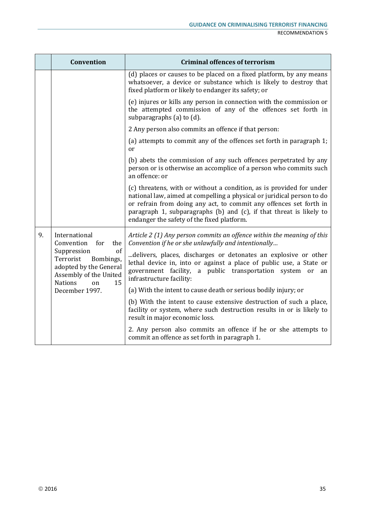|                                                                                                             | Convention                                                                | <b>Criminal offences of terrorism</b>                                                                                                                                                                                                                                                                                                     |
|-------------------------------------------------------------------------------------------------------------|---------------------------------------------------------------------------|-------------------------------------------------------------------------------------------------------------------------------------------------------------------------------------------------------------------------------------------------------------------------------------------------------------------------------------------|
|                                                                                                             |                                                                           | (d) places or causes to be placed on a fixed platform, by any means<br>whatsoever, a device or substance which is likely to destroy that<br>fixed platform or likely to endanger its safety; or                                                                                                                                           |
|                                                                                                             |                                                                           | (e) injures or kills any person in connection with the commission or<br>the attempted commission of any of the offences set forth in<br>subparagraphs (a) to (d).                                                                                                                                                                         |
|                                                                                                             |                                                                           | 2 Any person also commits an offence if that person:                                                                                                                                                                                                                                                                                      |
|                                                                                                             |                                                                           | (a) attempts to commit any of the offences set forth in paragraph 1;<br><sub>or</sub>                                                                                                                                                                                                                                                     |
|                                                                                                             |                                                                           | (b) abets the commission of any such offences perpetrated by any<br>person or is otherwise an accomplice of a person who commits such<br>an offence: or                                                                                                                                                                                   |
|                                                                                                             |                                                                           | (c) threatens, with or without a condition, as is provided for under<br>national law, aimed at compelling a physical or juridical person to do<br>or refrain from doing any act, to commit any offences set forth in<br>paragraph 1, subparagraphs (b) and (c), if that threat is likely to<br>endanger the safety of the fixed platform. |
| 9.<br>International<br>Convention for<br>Suppression<br>Terrorist<br><b>Nations</b><br>on<br>December 1997. | the                                                                       | Article 2 (1) Any person commits an offence within the meaning of this<br>Convention if he or she unlawfully and intentionally                                                                                                                                                                                                            |
|                                                                                                             | of<br>Bombings,<br>adopted by the General<br>Assembly of the United<br>15 | delivers, places, discharges or detonates an explosive or other<br>lethal device in, into or against a place of public use, a State or<br>government facility, a public transportation system or<br>an<br>infrastructure facility:                                                                                                        |
|                                                                                                             |                                                                           | (a) With the intent to cause death or serious bodily injury; or                                                                                                                                                                                                                                                                           |
|                                                                                                             |                                                                           | (b) With the intent to cause extensive destruction of such a place,<br>facility or system, where such destruction results in or is likely to<br>result in major economic loss.                                                                                                                                                            |
|                                                                                                             |                                                                           | 2. Any person also commits an offence if he or she attempts to<br>commit an offence as set forth in paragraph 1.                                                                                                                                                                                                                          |